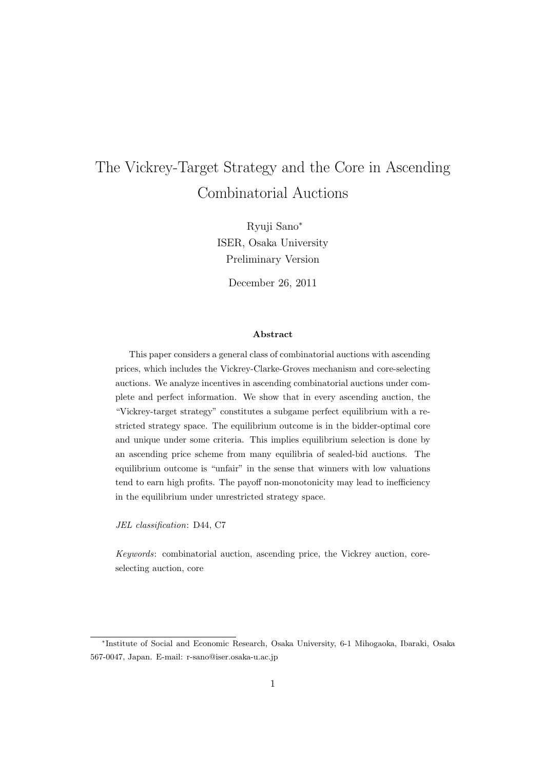# The Vickrey-Target Strategy and the Core in Ascending Combinatorial Auctions

Ryuji Sano*<sup>∗</sup>* ISER, Osaka University Preliminary Version

December 26, 2011

#### **Abstract**

This paper considers a general class of combinatorial auctions with ascending prices, which includes the Vickrey-Clarke-Groves mechanism and core-selecting auctions. We analyze incentives in ascending combinatorial auctions under complete and perfect information. We show that in every ascending auction, the "Vickrey-target strategy" constitutes a subgame perfect equilibrium with a restricted strategy space. The equilibrium outcome is in the bidder-optimal core and unique under some criteria. This implies equilibrium selection is done by an ascending price scheme from many equilibria of sealed-bid auctions. The equilibrium outcome is "unfair" in the sense that winners with low valuations tend to earn high profits. The payoff non-monotonicity may lead to inefficiency in the equilibrium under unrestricted strategy space.

*JEL classification*: D44, C7

*Keywords*: combinatorial auction, ascending price, the Vickrey auction, coreselecting auction, core

*<sup>∗</sup>* Institute of Social and Economic Research, Osaka University, 6-1 Mihogaoka, Ibaraki, Osaka 567-0047, Japan. E-mail: r-sano@iser.osaka-u.ac.jp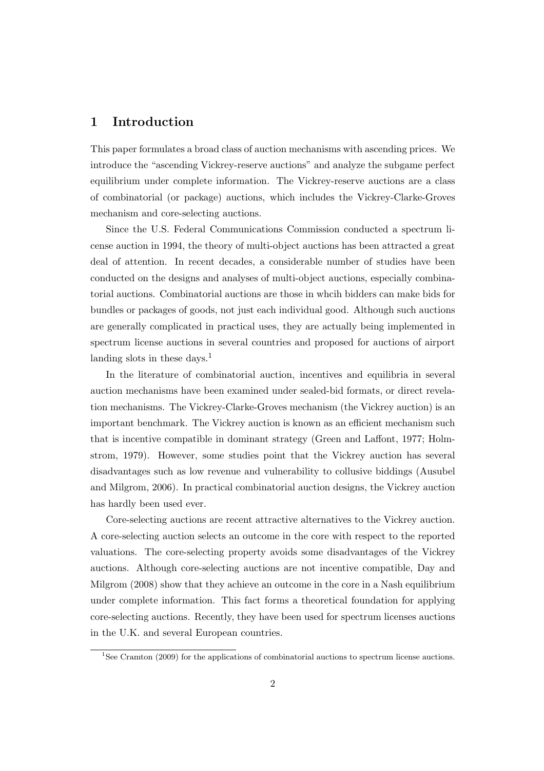## **1 Introduction**

This paper formulates a broad class of auction mechanisms with ascending prices. We introduce the "ascending Vickrey-reserve auctions" and analyze the subgame perfect equilibrium under complete information. The Vickrey-reserve auctions are a class of combinatorial (or package) auctions, which includes the Vickrey-Clarke-Groves mechanism and core-selecting auctions.

Since the U.S. Federal Communications Commission conducted a spectrum license auction in 1994, the theory of multi-object auctions has been attracted a great deal of attention. In recent decades, a considerable number of studies have been conducted on the designs and analyses of multi-object auctions, especially combinatorial auctions. Combinatorial auctions are those in whcih bidders can make bids for bundles or packages of goods, not just each individual good. Although such auctions are generally complicated in practical uses, they are actually being implemented in spectrum license auctions in several countries and proposed for auctions of airport landing slots in these days.<sup>1</sup>

In the literature of combinatorial auction, incentives and equilibria in several auction mechanisms have been examined under sealed-bid formats, or direct revelation mechanisms. The Vickrey-Clarke-Groves mechanism (the Vickrey auction) is an important benchmark. The Vickrey auction is known as an efficient mechanism such that is incentive compatible in dominant strategy (Green and Laffont, 1977; Holmstrom, 1979). However, some studies point that the Vickrey auction has several disadvantages such as low revenue and vulnerability to collusive biddings (Ausubel and Milgrom, 2006). In practical combinatorial auction designs, the Vickrey auction has hardly been used ever.

Core-selecting auctions are recent attractive alternatives to the Vickrey auction. A core-selecting auction selects an outcome in the core with respect to the reported valuations. The core-selecting property avoids some disadvantages of the Vickrey auctions. Although core-selecting auctions are not incentive compatible, Day and Milgrom (2008) show that they achieve an outcome in the core in a Nash equilibrium under complete information. This fact forms a theoretical foundation for applying core-selecting auctions. Recently, they have been used for spectrum licenses auctions in the U.K. and several European countries.

<sup>&</sup>lt;sup>1</sup>See Cramton (2009) for the applications of combinatorial auctions to spectrum license auctions.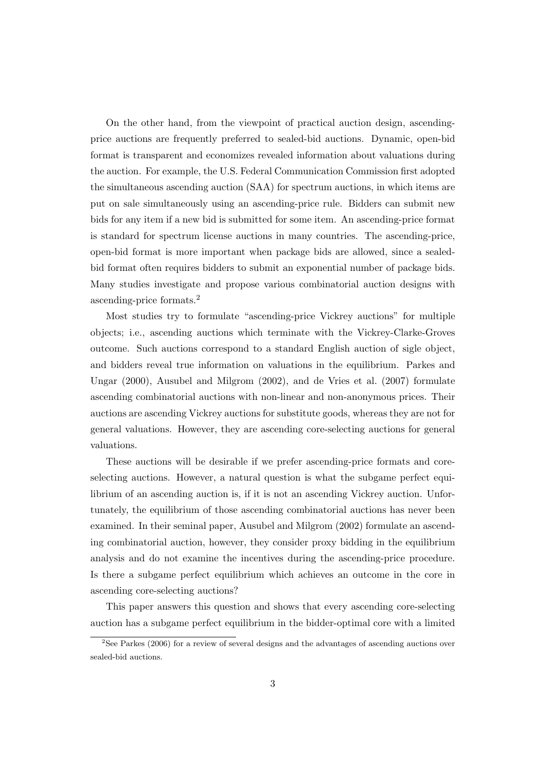On the other hand, from the viewpoint of practical auction design, ascendingprice auctions are frequently preferred to sealed-bid auctions. Dynamic, open-bid format is transparent and economizes revealed information about valuations during the auction. For example, the U.S. Federal Communication Commission first adopted the simultaneous ascending auction (SAA) for spectrum auctions, in which items are put on sale simultaneously using an ascending-price rule. Bidders can submit new bids for any item if a new bid is submitted for some item. An ascending-price format is standard for spectrum license auctions in many countries. The ascending-price, open-bid format is more important when package bids are allowed, since a sealedbid format often requires bidders to submit an exponential number of package bids. Many studies investigate and propose various combinatorial auction designs with ascending-price formats.<sup>2</sup>

Most studies try to formulate "ascending-price Vickrey auctions" for multiple objects; i.e., ascending auctions which terminate with the Vickrey-Clarke-Groves outcome. Such auctions correspond to a standard English auction of sigle object, and bidders reveal true information on valuations in the equilibrium. Parkes and Ungar (2000), Ausubel and Milgrom (2002), and de Vries et al. (2007) formulate ascending combinatorial auctions with non-linear and non-anonymous prices. Their auctions are ascending Vickrey auctions for substitute goods, whereas they are not for general valuations. However, they are ascending core-selecting auctions for general valuations.

These auctions will be desirable if we prefer ascending-price formats and coreselecting auctions. However, a natural question is what the subgame perfect equilibrium of an ascending auction is, if it is not an ascending Vickrey auction. Unfortunately, the equilibrium of those ascending combinatorial auctions has never been examined. In their seminal paper, Ausubel and Milgrom (2002) formulate an ascending combinatorial auction, however, they consider proxy bidding in the equilibrium analysis and do not examine the incentives during the ascending-price procedure. Is there a subgame perfect equilibrium which achieves an outcome in the core in ascending core-selecting auctions?

This paper answers this question and shows that every ascending core-selecting auction has a subgame perfect equilibrium in the bidder-optimal core with a limited

<sup>&</sup>lt;sup>2</sup>See Parkes (2006) for a review of several designs and the advantages of ascending auctions over sealed-bid auctions.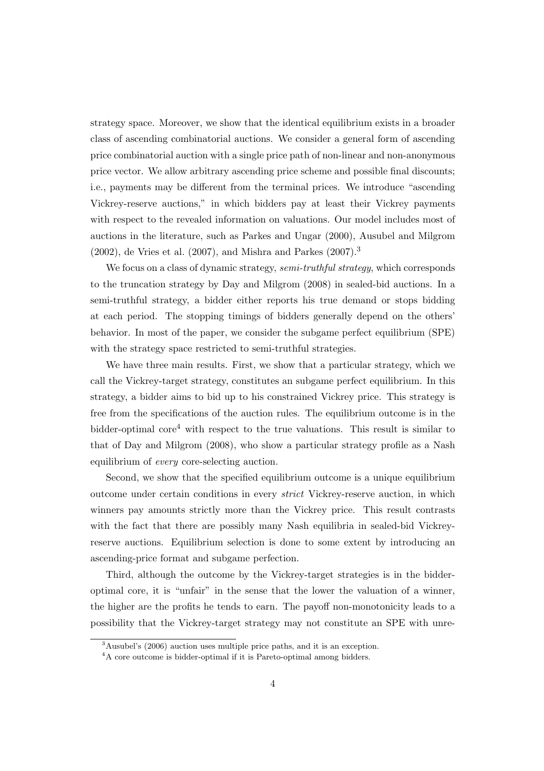strategy space. Moreover, we show that the identical equilibrium exists in a broader class of ascending combinatorial auctions. We consider a general form of ascending price combinatorial auction with a single price path of non-linear and non-anonymous price vector. We allow arbitrary ascending price scheme and possible final discounts; i.e., payments may be different from the terminal prices. We introduce "ascending Vickrey-reserve auctions," in which bidders pay at least their Vickrey payments with respect to the revealed information on valuations. Our model includes most of auctions in the literature, such as Parkes and Ungar (2000), Ausubel and Milgrom  $(2002)$ , de Vries et al.  $(2007)$ , and Mishra and Parkes  $(2007).<sup>3</sup>$ 

We focus on a class of dynamic strategy, *semi-truthful strategy*, which corresponds to the truncation strategy by Day and Milgrom (2008) in sealed-bid auctions. In a semi-truthful strategy, a bidder either reports his true demand or stops bidding at each period. The stopping timings of bidders generally depend on the others' behavior. In most of the paper, we consider the subgame perfect equilibrium (SPE) with the strategy space restricted to semi-truthful strategies.

We have three main results. First, we show that a particular strategy, which we call the Vickrey-target strategy, constitutes an subgame perfect equilibrium. In this strategy, a bidder aims to bid up to his constrained Vickrey price. This strategy is free from the specifications of the auction rules. The equilibrium outcome is in the bidder-optimal  $\text{core}^4$  with respect to the true valuations. This result is similar to that of Day and Milgrom (2008), who show a particular strategy profile as a Nash equilibrium of *every* core-selecting auction.

Second, we show that the specified equilibrium outcome is a unique equilibrium outcome under certain conditions in every *strict* Vickrey-reserve auction, in which winners pay amounts strictly more than the Vickrey price. This result contrasts with the fact that there are possibly many Nash equilibria in sealed-bid Vickreyreserve auctions. Equilibrium selection is done to some extent by introducing an ascending-price format and subgame perfection.

Third, although the outcome by the Vickrey-target strategies is in the bidderoptimal core, it is "unfair" in the sense that the lower the valuation of a winner, the higher are the profits he tends to earn. The payoff non-monotonicity leads to a possibility that the Vickrey-target strategy may not constitute an SPE with unre-

<sup>3</sup>Ausubel's (2006) auction uses multiple price paths, and it is an exception.

<sup>&</sup>lt;sup>4</sup>A core outcome is bidder-optimal if it is Pareto-optimal among bidders.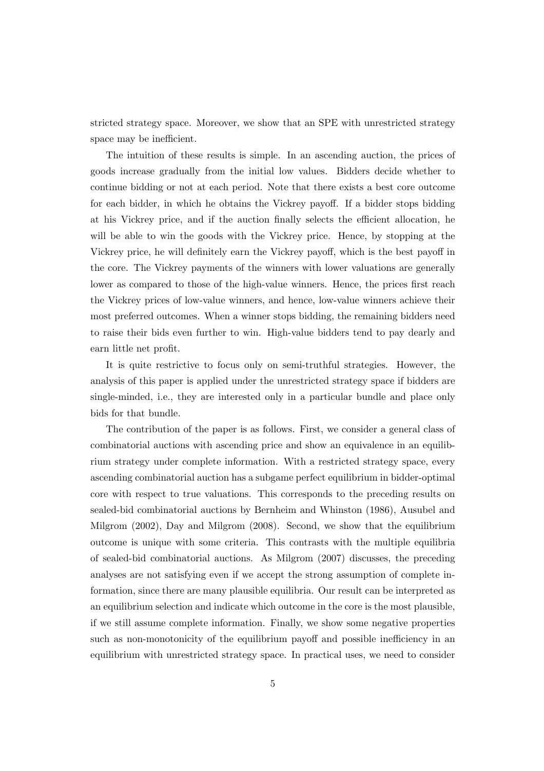stricted strategy space. Moreover, we show that an SPE with unrestricted strategy space may be inefficient.

The intuition of these results is simple. In an ascending auction, the prices of goods increase gradually from the initial low values. Bidders decide whether to continue bidding or not at each period. Note that there exists a best core outcome for each bidder, in which he obtains the Vickrey payoff. If a bidder stops bidding at his Vickrey price, and if the auction finally selects the efficient allocation, he will be able to win the goods with the Vickrey price. Hence, by stopping at the Vickrey price, he will definitely earn the Vickrey payoff, which is the best payoff in the core. The Vickrey payments of the winners with lower valuations are generally lower as compared to those of the high-value winners. Hence, the prices first reach the Vickrey prices of low-value winners, and hence, low-value winners achieve their most preferred outcomes. When a winner stops bidding, the remaining bidders need to raise their bids even further to win. High-value bidders tend to pay dearly and earn little net profit.

It is quite restrictive to focus only on semi-truthful strategies. However, the analysis of this paper is applied under the unrestricted strategy space if bidders are single-minded, i.e., they are interested only in a particular bundle and place only bids for that bundle.

The contribution of the paper is as follows. First, we consider a general class of combinatorial auctions with ascending price and show an equivalence in an equilibrium strategy under complete information. With a restricted strategy space, every ascending combinatorial auction has a subgame perfect equilibrium in bidder-optimal core with respect to true valuations. This corresponds to the preceding results on sealed-bid combinatorial auctions by Bernheim and Whinston (1986), Ausubel and Milgrom (2002), Day and Milgrom (2008). Second, we show that the equilibrium outcome is unique with some criteria. This contrasts with the multiple equilibria of sealed-bid combinatorial auctions. As Milgrom (2007) discusses, the preceding analyses are not satisfying even if we accept the strong assumption of complete information, since there are many plausible equilibria. Our result can be interpreted as an equilibrium selection and indicate which outcome in the core is the most plausible, if we still assume complete information. Finally, we show some negative properties such as non-monotonicity of the equilibrium payoff and possible inefficiency in an equilibrium with unrestricted strategy space. In practical uses, we need to consider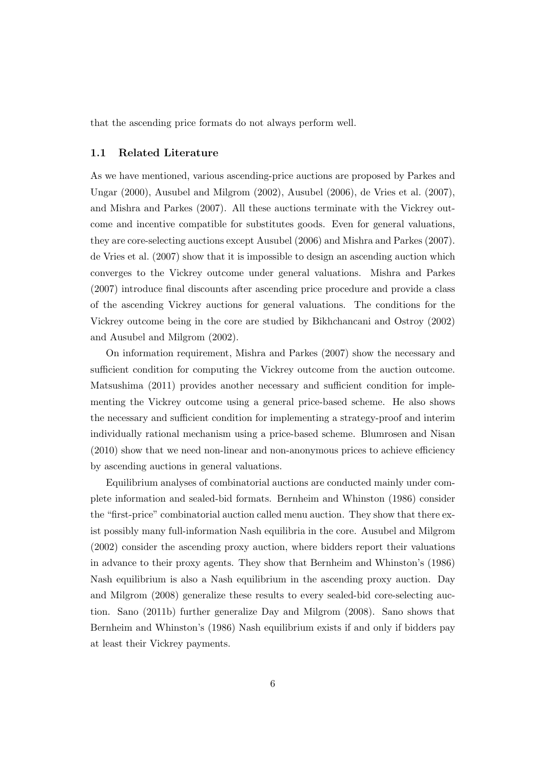that the ascending price formats do not always perform well.

#### **1.1 Related Literature**

As we have mentioned, various ascending-price auctions are proposed by Parkes and Ungar (2000), Ausubel and Milgrom (2002), Ausubel (2006), de Vries et al. (2007), and Mishra and Parkes (2007). All these auctions terminate with the Vickrey outcome and incentive compatible for substitutes goods. Even for general valuations, they are core-selecting auctions except Ausubel (2006) and Mishra and Parkes (2007). de Vries et al. (2007) show that it is impossible to design an ascending auction which converges to the Vickrey outcome under general valuations. Mishra and Parkes (2007) introduce final discounts after ascending price procedure and provide a class of the ascending Vickrey auctions for general valuations. The conditions for the Vickrey outcome being in the core are studied by Bikhchancani and Ostroy (2002) and Ausubel and Milgrom (2002).

On information requirement, Mishra and Parkes (2007) show the necessary and sufficient condition for computing the Vickrey outcome from the auction outcome. Matsushima (2011) provides another necessary and sufficient condition for implementing the Vickrey outcome using a general price-based scheme. He also shows the necessary and sufficient condition for implementing a strategy-proof and interim individually rational mechanism using a price-based scheme. Blumrosen and Nisan (2010) show that we need non-linear and non-anonymous prices to achieve efficiency by ascending auctions in general valuations.

Equilibrium analyses of combinatorial auctions are conducted mainly under complete information and sealed-bid formats. Bernheim and Whinston (1986) consider the "first-price" combinatorial auction called menu auction. They show that there exist possibly many full-information Nash equilibria in the core. Ausubel and Milgrom (2002) consider the ascending proxy auction, where bidders report their valuations in advance to their proxy agents. They show that Bernheim and Whinston's (1986) Nash equilibrium is also a Nash equilibrium in the ascending proxy auction. Day and Milgrom (2008) generalize these results to every sealed-bid core-selecting auction. Sano (2011b) further generalize Day and Milgrom (2008). Sano shows that Bernheim and Whinston's (1986) Nash equilibrium exists if and only if bidders pay at least their Vickrey payments.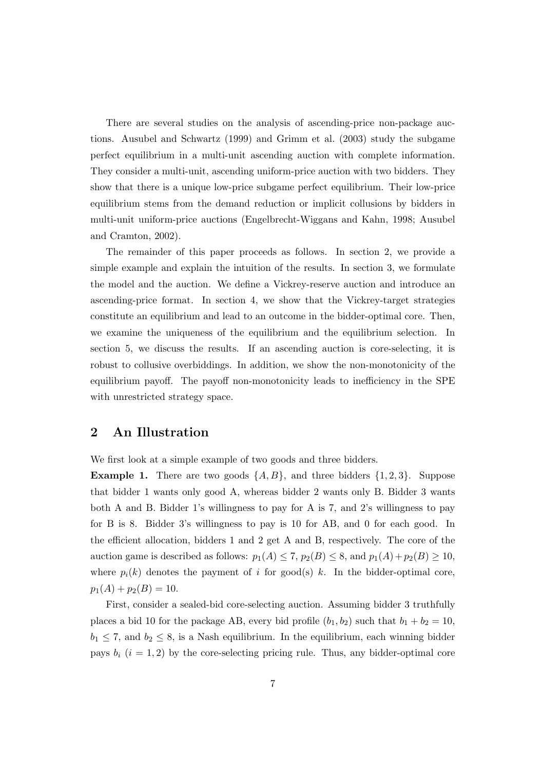There are several studies on the analysis of ascending-price non-package auctions. Ausubel and Schwartz (1999) and Grimm et al. (2003) study the subgame perfect equilibrium in a multi-unit ascending auction with complete information. They consider a multi-unit, ascending uniform-price auction with two bidders. They show that there is a unique low-price subgame perfect equilibrium. Their low-price equilibrium stems from the demand reduction or implicit collusions by bidders in multi-unit uniform-price auctions (Engelbrecht-Wiggans and Kahn, 1998; Ausubel and Cramton, 2002).

The remainder of this paper proceeds as follows. In section 2, we provide a simple example and explain the intuition of the results. In section 3, we formulate the model and the auction. We define a Vickrey-reserve auction and introduce an ascending-price format. In section 4, we show that the Vickrey-target strategies constitute an equilibrium and lead to an outcome in the bidder-optimal core. Then, we examine the uniqueness of the equilibrium and the equilibrium selection. In section 5, we discuss the results. If an ascending auction is core-selecting, it is robust to collusive overbiddings. In addition, we show the non-monotonicity of the equilibrium payoff. The payoff non-monotonicity leads to inefficiency in the SPE with unrestricted strategy space.

### **2 An Illustration**

We first look at a simple example of two goods and three bidders.

**Example 1.** There are two goods  $\{A, B\}$ , and three bidders  $\{1, 2, 3\}$ . Suppose that bidder 1 wants only good A, whereas bidder 2 wants only B. Bidder 3 wants both A and B. Bidder 1's willingness to pay for A is 7, and 2's willingness to pay for B is 8. Bidder 3's willingness to pay is 10 for AB, and 0 for each good. In the efficient allocation, bidders 1 and 2 get A and B, respectively. The core of the auction game is described as follows:  $p_1(A) \leq 7$ ,  $p_2(B) \leq 8$ , and  $p_1(A) + p_2(B) \geq 10$ , where  $p_i(k)$  denotes the payment of *i* for good(s) *k*. In the bidder-optimal core,  $p_1(A) + p_2(B) = 10.$ 

First, consider a sealed-bid core-selecting auction. Assuming bidder 3 truthfully places a bid 10 for the package AB, every bid profile  $(b_1, b_2)$  such that  $b_1 + b_2 = 10$ ,  $b_1 \leq 7$ , and  $b_2 \leq 8$ , is a Nash equilibrium. In the equilibrium, each winning bidder pays  $b_i$   $(i = 1, 2)$  by the core-selecting pricing rule. Thus, any bidder-optimal core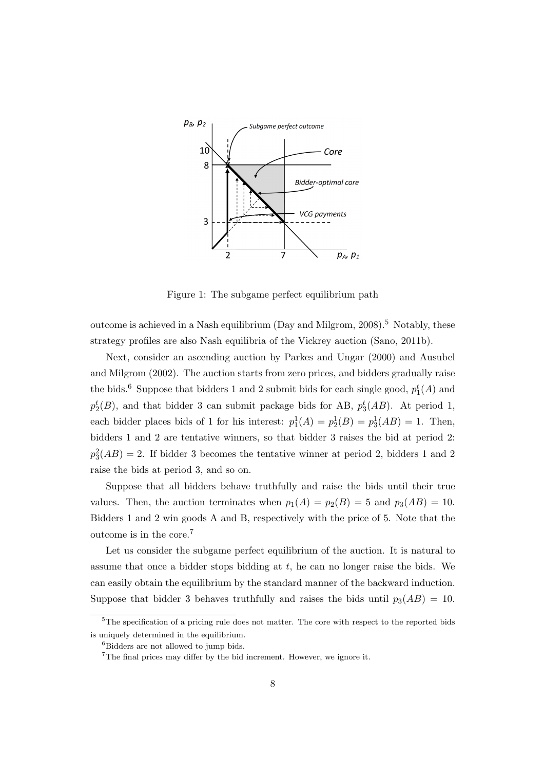

Figure 1: The subgame perfect equilibrium path

outcome is achieved in a Nash equilibrium (Day and Milgrom,  $2008$ ).<sup>5</sup> Notably, these strategy profiles are also Nash equilibria of the Vickrey auction (Sano, 2011b).

Next, consider an ascending auction by Parkes and Ungar (2000) and Ausubel and Milgrom (2002). The auction starts from zero prices, and bidders gradually raise the bids.<sup>6</sup> Suppose that bidders 1 and 2 submit bids for each single good,  $p_1^t(A)$  and  $p_2^t(B)$ , and that bidder 3 can submit package bids for AB,  $p_3^t(AB)$ . At period 1, each bidder places bids of 1 for his interest:  $p_1^1(A) = p_2^1(B) = p_3^1(AB) = 1$ . Then, bidders 1 and 2 are tentative winners, so that bidder 3 raises the bid at period 2:  $p_3^2(AB) = 2$ . If bidder 3 becomes the tentative winner at period 2, bidders 1 and 2 raise the bids at period 3, and so on.

Suppose that all bidders behave truthfully and raise the bids until their true values. Then, the auction terminates when  $p_1(A) = p_2(B) = 5$  and  $p_3(AB) = 10$ . Bidders 1 and 2 win goods A and B, respectively with the price of 5. Note that the outcome is in the core.<sup>7</sup>

Let us consider the subgame perfect equilibrium of the auction. It is natural to assume that once a bidder stops bidding at *t*, he can no longer raise the bids. We can easily obtain the equilibrium by the standard manner of the backward induction. Suppose that bidder 3 behaves truthfully and raises the bids until  $p_3(AB) = 10$ .

<sup>&</sup>lt;sup>5</sup>The specification of a pricing rule does not matter. The core with respect to the reported bids is uniquely determined in the equilibrium.

<sup>&</sup>lt;sup>6</sup>Bidders are not allowed to jump bids.

 $7$ The final prices may differ by the bid increment. However, we ignore it.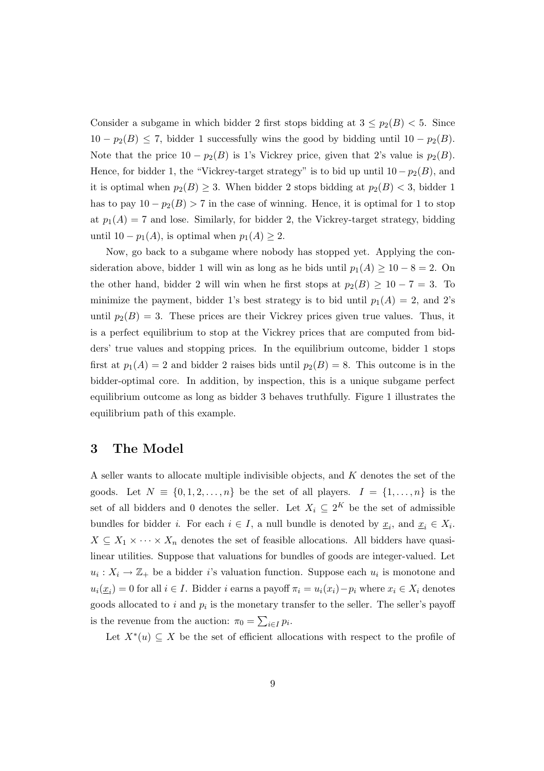Consider a subgame in which bidder 2 first stops bidding at  $3 \leq p_2(B) < 5$ . Since 10 *−*  $p_2(B)$  ≤ 7, bidder 1 successfully wins the good by bidding until 10 *−*  $p_2(B)$ . Note that the price  $10 - p_2(B)$  is 1's Vickrey price, given that 2's value is  $p_2(B)$ . Hence, for bidder 1, the "Vickrey-target strategy" is to bid up until  $10 - p_2(B)$ , and it is optimal when  $p_2(B) \geq 3$ . When bidder 2 stops bidding at  $p_2(B) < 3$ , bidder 1 has to pay  $10 - p_2(B) > 7$  in the case of winning. Hence, it is optimal for 1 to stop at  $p_1(A) = 7$  and lose. Similarly, for bidder 2, the Vickrey-target strategy, bidding until 10 −  $p_1(A)$ , is optimal when  $p_1(A) \geq 2$ .

Now, go back to a subgame where nobody has stopped yet. Applying the consideration above, bidder 1 will win as long as he bids until  $p_1(A) \geq 10 - 8 = 2$ . On the other hand, bidder 2 will win when he first stops at  $p_2(B) \geq 10 - 7 = 3$ . To minimize the payment, bidder 1's best strategy is to bid until  $p_1(A) = 2$ , and 2's until  $p_2(B) = 3$ . These prices are their Vickrey prices given true values. Thus, it is a perfect equilibrium to stop at the Vickrey prices that are computed from bidders' true values and stopping prices. In the equilibrium outcome, bidder 1 stops first at  $p_1(A) = 2$  and bidder 2 raises bids until  $p_2(B) = 8$ . This outcome is in the bidder-optimal core. In addition, by inspection, this is a unique subgame perfect equilibrium outcome as long as bidder 3 behaves truthfully. Figure 1 illustrates the equilibrium path of this example.

## **3 The Model**

A seller wants to allocate multiple indivisible objects, and *K* denotes the set of the goods. Let  $N \equiv \{0, 1, 2, \ldots, n\}$  be the set of all players.  $I = \{1, \ldots, n\}$  is the set of all bidders and 0 denotes the seller. Let  $X_i \subseteq 2^K$  be the set of admissible bundles for bidder *i*. For each  $i \in I$ , a null bundle is denoted by  $\underline{x}_i$ , and  $\underline{x}_i \in X_i$ .  $X \subseteq X_1 \times \cdots \times X_n$  denotes the set of feasible allocations. All bidders have quasilinear utilities. Suppose that valuations for bundles of goods are integer-valued. Let  $u_i: X_i \to \mathbb{Z}_+$  be a bidder *i*'s valuation function. Suppose each  $u_i$  is monotone and  $u_i(\underline{x}_i) = 0$  for all  $i \in I$ . Bidder i earns a payoff  $\pi_i = u_i(x_i) - p_i$  where  $x_i \in X_i$  denotes goods allocated to  $i$  and  $p_i$  is the monetary transfer to the seller. The seller's payoff is the revenue from the auction:  $\pi_0 = \sum_{i \in I} p_i$ .

Let  $X^*(u) \subseteq X$  be the set of efficient allocations with respect to the profile of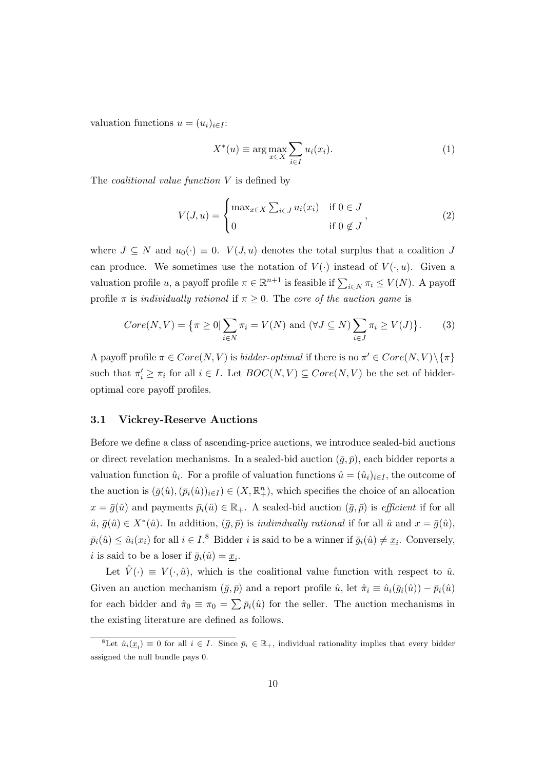valuation functions  $u = (u_i)_{i \in I}$ :

$$
X^*(u) \equiv \arg \max_{x \in X} \sum_{i \in I} u_i(x_i). \tag{1}
$$

The *coalitional value function V* is defined by

$$
V(J, u) = \begin{cases} \max_{x \in X} \sum_{i \in J} u_i(x_i) & \text{if } 0 \in J \\ 0 & \text{if } 0 \notin J \end{cases}
$$
 (2)

where  $J \subseteq N$  and  $u_0(\cdot) \equiv 0$ .  $V(J, u)$  denotes the total surplus that a coalition *J* can produce. We sometimes use the notation of  $V(\cdot)$  instead of  $V(\cdot, u)$ . Given a valuation profile *u*, a payoff profile  $\pi \in \mathbb{R}^{n+1}$  is feasible if  $\sum_{i \in N} \pi_i \leq V(N)$ . A payoff profile  $\pi$  is *individually rational* if  $\pi \geq 0$ . The *core of the auction game* is

$$
Core(N,V) = \{\pi \ge 0 | \sum_{i \in N} \pi_i = V(N) \text{ and } (\forall J \subseteq N) \sum_{i \in J} \pi_i \ge V(J) \}. \tag{3}
$$

A payoff profile  $\pi \in Core(N, V)$  is *bidder-optimal* if there is no  $\pi' \in Core(N, V) \setminus {\pi}$ such that  $\pi'_i \geq \pi_i$  for all  $i \in I$ . Let  $BOC(N, V) \subseteq Core(N, V)$  be the set of bidderoptimal core payoff profiles.

#### **3.1 Vickrey-Reserve Auctions**

Before we define a class of ascending-price auctions, we introduce sealed-bid auctions or direct revelation mechanisms. In a sealed-bid auction  $(\bar{q}, \bar{p})$ , each bidder reports a valuation function  $\hat{u}_i$ . For a profile of valuation functions  $\hat{u} = (\hat{u}_i)_{i \in I}$ , the outcome of the auction is  $(\bar{g}(\hat{u}),(\bar{p}_i(\hat{u}))_{i\in I}) \in (X,\mathbb{R}^n_+)$ , which specifies the choice of an allocation  $x = \bar{g}(\hat{u})$  and payments  $\bar{p}_i(\hat{u}) \in \mathbb{R}_+$ . A sealed-bid auction  $(\bar{g}, \bar{p})$  is *efficient* if for all  $\hat{u}, \bar{g}(\hat{u}) \in X^*(\hat{u})$ . In addition,  $(\bar{g}, \bar{p})$  is *individually rational* if for all  $\hat{u}$  and  $x = \bar{g}(\hat{u})$ ,  $\bar{p}_i(\hat{u}) \leq \hat{u}_i(x_i)$  for all  $i \in I$ .<sup>8</sup> Bidder *i* is said to be a winner if  $\bar{g}_i(\hat{u}) \neq \underline{x}_i$ . Conversely, *i* is said to be a loser if  $\bar{g}_i(\hat{u}) = \underline{x}_i$ .

Let  $V(\cdot) \equiv V(\cdot, \hat{u})$ , which is the coalitional value function with respect to  $\hat{u}$ . Given an auction mechanism  $(\bar{g}, \bar{p})$  and a report profile  $\hat{u}$ , let  $\hat{\pi}_i \equiv \hat{u}_i(\bar{g}_i(\hat{u})) - \bar{p}_i(\hat{u})$ for each bidder and  $\hat{\pi}_0 \equiv \pi_0 = \sum \bar{p}_i(\hat{u})$  for the seller. The auction mechanisms in the existing literature are defined as follows.

<sup>&</sup>lt;sup>8</sup>Let  $\hat{u}_i(\underline{x}_i) \equiv 0$  for all  $i \in I$ . Since  $\bar{p}_i \in \mathbb{R}_+$ , individual rationality implies that every bidder assigned the null bundle pays 0.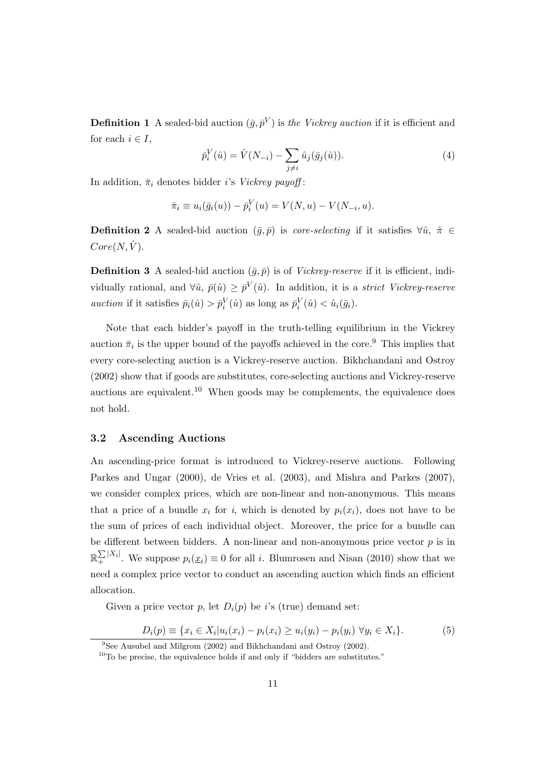**Definition 1** A sealed-bid auction  $(\bar{g}, \bar{p}^V)$  is *the Vickrey auction* if it is efficient and for each  $i \in I$ ,

$$
\bar{p}_i^V(\hat{u}) = \hat{V}(N_{-i}) - \sum_{j \neq i} \hat{u}_j(\bar{g}_j(\hat{u})).
$$
\n(4)

In addition,  $\bar{\pi}_i$  denotes bidder *i*'s *Vickrey payoff*:

$$
\bar{\pi}_i \equiv u_i(\bar{g}_i(u)) - \bar{p}_i^V(u) = V(N, u) - V(N_{-i}, u).
$$

**Definition 2** A sealed-bid auction  $(\bar{g}, \bar{p})$  is *core-selecting* if it satisfies  $\forall \hat{u}, \hat{\pi} \in$  $Core(N,\hat{V}).$ 

**Definition 3** A sealed-bid auction  $(\bar{g}, \bar{p})$  is of *Vickrey-reserve* if it is efficient, individually rational, and  $\forall \hat{u}, \bar{p}(\hat{u}) \geq \bar{p}^V(\hat{u})$ . In addition, it is a *strict Vickrey-reserve auction* if it satisfies  $\bar{p}_i(\hat{u}) > \bar{p}_i^V(\hat{u})$  as long as  $\bar{p}_i^V(\hat{u}) < \hat{u}_i(\bar{g}_i)$ .

Note that each bidder's payoff in the truth-telling equilibrium in the Vickrey auction  $\bar{\pi}_i$  is the upper bound of the payoffs achieved in the core.<sup>9</sup> This implies that every core-selecting auction is a Vickrey-reserve auction. Bikhchandani and Ostroy (2002) show that if goods are substitutes, core-selecting auctions and Vickrey-reserve auctions are equivalent.<sup>10</sup> When goods may be complements, the equivalence does not hold.

#### **3.2 Ascending Auctions**

An ascending-price format is introduced to Vickrey-reserve auctions. Following Parkes and Ungar (2000), de Vries et al. (2003), and Mishra and Parkes (2007), we consider complex prices, which are non-linear and non-anonymous. This means that a price of a bundle  $x_i$  for *i*, which is denoted by  $p_i(x_i)$ , does not have to be the sum of prices of each individual object. Moreover, the price for a bundle can be different between bidders. A non-linear and non-anonymous price vector  $p$  is in  $\mathbb{R}_+^{\sum |X_i|}$ . We suppose  $p_i(\underline{x}_i) \equiv 0$  for all *i*. Blumrosen and Nisan (2010) show that we need a complex price vector to conduct an ascending auction which finds an efficient allocation.

Given a price vector  $p$ , let  $D_i(p)$  be *i*'s (true) demand set:

$$
D_i(p) \equiv \{ x_i \in X_i | u_i(x_i) - p_i(x_i) \ge u_i(y_i) - p_i(y_i) \; \forall y_i \in X_i \}.
$$
 (5)

<sup>&</sup>lt;sup>9</sup>See Ausubel and Milgrom (2002) and Bikhchandani and Ostroy (2002).

 $10$ To be precise, the equivalence holds if and only if "bidders are substitutes."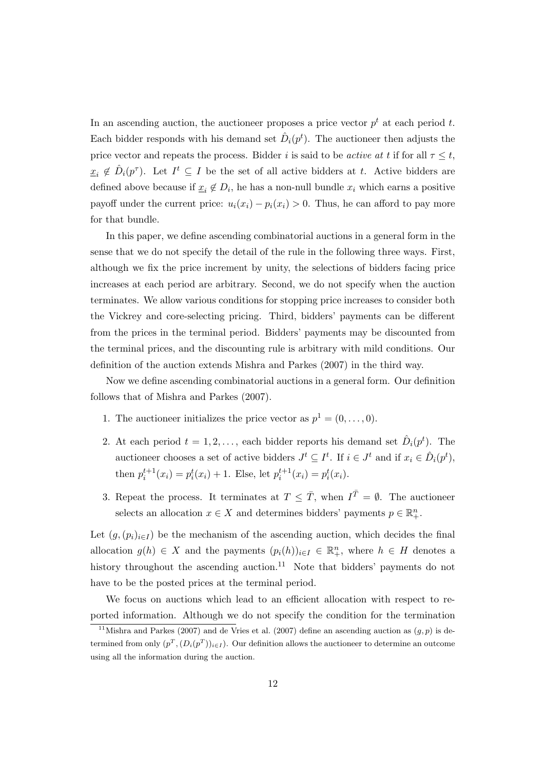In an ascending auction, the auctioneer proposes a price vector  $p<sup>t</sup>$  at each period  $t$ . Each bidder responds with his demand set  $\hat{D}_i(p^t)$ . The auctioneer then adjusts the price vector and repeats the process. Bidder *i* is said to be *active at t* if for all  $\tau \leq t$ ,  $\underline{x}_i \notin \hat{D}_i(p^{\tau})$ . Let  $I^t \subseteq I$  be the set of all active bidders at *t*. Active bidders are defined above because if  $\underline{x}_i \notin D_i$ , he has a non-null bundle  $x_i$  which earns a positive payoff under the current price:  $u_i(x_i) - p_i(x_i) > 0$ . Thus, he can afford to pay more for that bundle.

In this paper, we define ascending combinatorial auctions in a general form in the sense that we do not specify the detail of the rule in the following three ways. First, although we fix the price increment by unity, the selections of bidders facing price increases at each period are arbitrary. Second, we do not specify when the auction terminates. We allow various conditions for stopping price increases to consider both the Vickrey and core-selecting pricing. Third, bidders' payments can be different from the prices in the terminal period. Bidders' payments may be discounted from the terminal prices, and the discounting rule is arbitrary with mild conditions. Our definition of the auction extends Mishra and Parkes (2007) in the third way.

Now we define ascending combinatorial auctions in a general form. Our definition follows that of Mishra and Parkes (2007).

- 1. The auctioneer initializes the price vector as  $p^1 = (0, \ldots, 0)$ .
- 2. At each period  $t = 1, 2, \ldots$ , each bidder reports his demand set  $\hat{D}_i(p^t)$ . The auctioneer chooses a set of active bidders  $J^t \subseteq I^t$ . If  $i \in J^t$  and if  $x_i \in \hat{D}_i(p^t)$ , then  $p_i^{t+1}(x_i) = p_i^t(x_i) + 1$ . Else, let  $p_i^{t+1}(x_i) = p_i^t(x_i)$ .
- 3. Repeat the process. It terminates at  $T \leq \overline{T}$ , when  $I^{\overline{T}} = \emptyset$ . The auctioneer selects an allocation  $x \in X$  and determines bidders' payments  $p \in \mathbb{R}^n_+$ .

Let  $(g, (p_i)_{i \in I})$  be the mechanism of the ascending auction, which decides the final allocation  $g(h) \in X$  and the payments  $(p_i(h))_{i \in I} \in \mathbb{R}_+^n$ , where  $h \in H$  denotes a history throughout the ascending auction.<sup>11</sup> Note that bidders' payments do not have to be the posted prices at the terminal period.

We focus on auctions which lead to an efficient allocation with respect to reported information. Although we do not specify the condition for the termination

<sup>&</sup>lt;sup>11</sup>Mishra and Parkes (2007) and de Vries et al. (2007) define an ascending auction as  $(q, p)$  is determined from only  $(p^T, (D_i(p^T))_{i \in I})$ . Our definition allows the auctioneer to determine an outcome using all the information during the auction.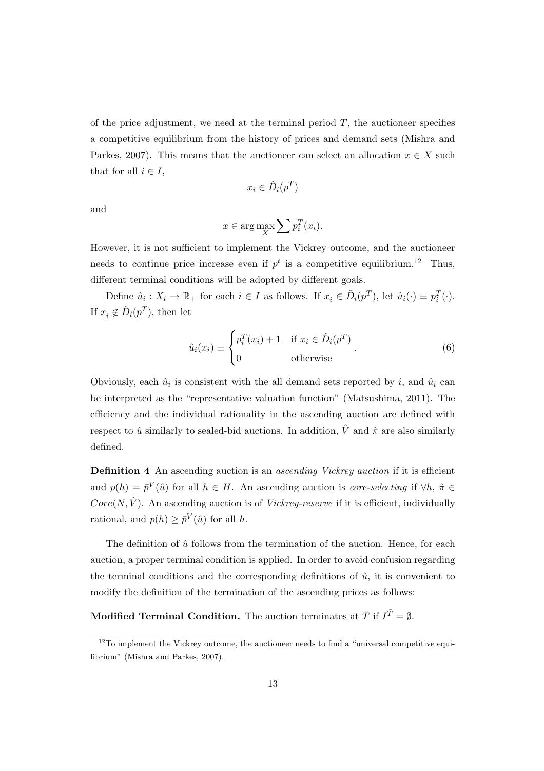of the price adjustment, we need at the terminal period *T*, the auctioneer specifies a competitive equilibrium from the history of prices and demand sets (Mishra and Parkes, 2007). This means that the auctioneer can select an allocation  $x \in X$  such that for all  $i \in I$ ,

$$
x_i \in \hat{D}_i(p^T)
$$

and

$$
x \in \arg\max_{X} \sum p_i^T(x_i).
$$

However, it is not sufficient to implement the Vickrey outcome, and the auctioneer needs to continue price increase even if  $p^t$  is a competitive equilibrium.<sup>12</sup> Thus, different terminal conditions will be adopted by different goals.

Define  $\hat{u}_i : X_i \to \mathbb{R}_+$  for each  $i \in I$  as follows. If  $\underline{x}_i \in \hat{D}_i(p^T)$ , let  $\hat{u}_i(\cdot) \equiv p_i^T(\cdot)$ . If  $\underline{x}_i \notin \hat{D}_i(p^T)$ , then let

$$
\hat{u}_i(x_i) \equiv \begin{cases} p_i^T(x_i) + 1 & \text{if } x_i \in \hat{D}_i(p^T) \\ 0 & \text{otherwise} \end{cases} . \tag{6}
$$

Obviously, each  $\hat{u}_i$  is consistent with the all demand sets reported by *i*, and  $\hat{u}_i$  can be interpreted as the "representative valuation function" (Matsushima, 2011). The efficiency and the individual rationality in the ascending auction are defined with respect to  $\hat{u}$  similarly to sealed-bid auctions. In addition,  $\hat{V}$  and  $\hat{\pi}$  are also similarly defined.

**Definition 4** An ascending auction is an *ascending Vickrey auction* if it is efficient and  $p(h) = \bar{p}^V(\hat{u})$  for all  $h \in H$ . An ascending auction is *core-selecting* if  $\forall h, \hat{\pi} \in$  $Core(N,\hat{V})$ . An ascending auction is of *Vickrey-reserve* if it is efficient, individually rational, and  $p(h) \geq \bar{p}^V(\hat{u})$  for all *h*.

The definition of  $\hat{u}$  follows from the termination of the auction. Hence, for each auction, a proper terminal condition is applied. In order to avoid confusion regarding the terminal conditions and the corresponding definitions of  $\hat{u}$ , it is convenient to modify the definition of the termination of the ascending prices as follows:

**Modified Terminal Condition.** The auction terminates at  $\overline{T}$  if  $I^{\overline{T}} = \emptyset$ .

 $12$ To implement the Vickrey outcome, the auctioneer needs to find a "universal competitive equilibrium" (Mishra and Parkes, 2007).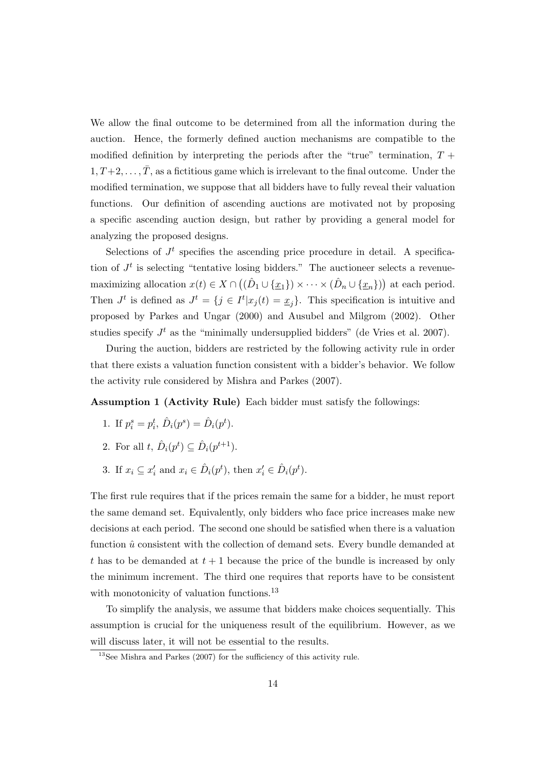We allow the final outcome to be determined from all the information during the auction. Hence, the formerly defined auction mechanisms are compatible to the modified definition by interpreting the periods after the "true" termination,  $T +$  $1, T+2, \ldots, \overline{T}$ , as a fictitious game which is irrelevant to the final outcome. Under the modified termination, we suppose that all bidders have to fully reveal their valuation functions. Our definition of ascending auctions are motivated not by proposing a specific ascending auction design, but rather by providing a general model for analyzing the proposed designs.

Selections of  $J<sup>t</sup>$  specifies the ascending price procedure in detail. A specification of  $J<sup>t</sup>$  is selecting "tentative losing bidders." The auctioneer selects a revenuemaximizing allocation  $x(t) \in X \cap ((\hat{D}_1 \cup {\{\underline{x}_1\}}) \times \cdots \times (\hat{D}_n \cup {\{\underline{x}_n\}}))$  at each period. Then  $J^t$  is defined as  $J^t = \{j \in I^t | x_j(t) = x_j\}$ . This specification is intuitive and proposed by Parkes and Ungar (2000) and Ausubel and Milgrom (2002). Other studies specify  $J<sup>t</sup>$  as the "minimally undersupplied bidders" (de Vries et al. 2007).

During the auction, bidders are restricted by the following activity rule in order that there exists a valuation function consistent with a bidder's behavior. We follow the activity rule considered by Mishra and Parkes (2007).

**Assumption 1 (Activity Rule)** Each bidder must satisfy the followings:

- 1. If  $p_i^s = p_i^t$ ,  $\hat{D}_i(p^s) = \hat{D}_i(p^t)$ .
- 2. For all  $t, \hat{D}_i(p^t) \subseteq \hat{D}_i(p^{t+1})$ .
- 3. If  $x_i \subseteq x'_i$  and  $x_i \in \hat{D}_i(p^t)$ , then  $x'_i \in \hat{D}_i(p^t)$ .

The first rule requires that if the prices remain the same for a bidder, he must report the same demand set. Equivalently, only bidders who face price increases make new decisions at each period. The second one should be satisfied when there is a valuation function  $\hat{u}$  consistent with the collection of demand sets. Every bundle demanded at *t* has to be demanded at *t* + 1 because the price of the bundle is increased by only the minimum increment. The third one requires that reports have to be consistent with monotonicity of valuation functions.<sup>13</sup>

To simplify the analysis, we assume that bidders make choices sequentially. This assumption is crucial for the uniqueness result of the equilibrium. However, as we will discuss later, it will not be essential to the results.

<sup>13</sup>See Mishra and Parkes (2007) for the sufficiency of this activity rule.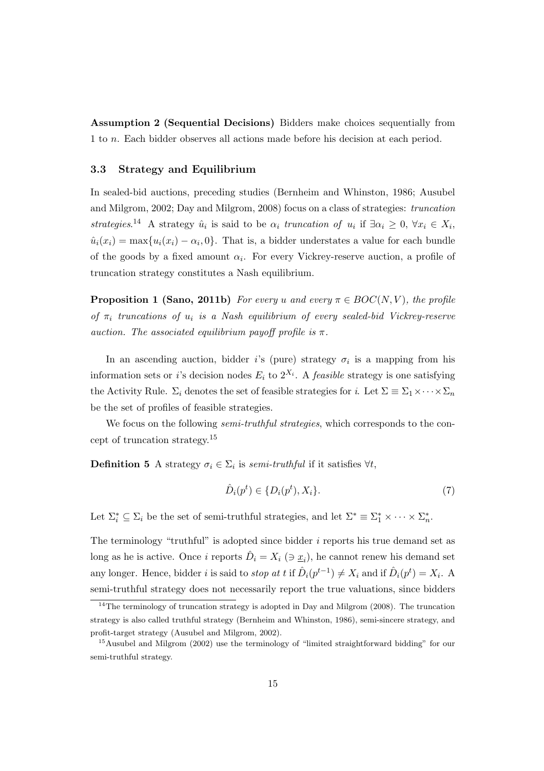**Assumption 2 (Sequential Decisions)** Bidders make choices sequentially from 1 to *n*. Each bidder observes all actions made before his decision at each period.

#### **3.3 Strategy and Equilibrium**

In sealed-bid auctions, preceding studies (Bernheim and Whinston, 1986; Ausubel and Milgrom, 2002; Day and Milgrom, 2008) focus on a class of strategies: *truncation strategies*.<sup>14</sup> A strategy  $\hat{u}_i$  is said to be  $\alpha_i$  *truncation of*  $u_i$  if  $\exists \alpha_i \geq 0$ ,  $\forall x_i \in X_i$ ,  $\hat{u}_i(x_i) = \max\{u_i(x_i) - \alpha_i, 0\}$ . That is, a bidder understates a value for each bundle of the goods by a fixed amount  $\alpha_i$ . For every Vickrey-reserve auction, a profile of truncation strategy constitutes a Nash equilibrium.

**Proposition 1 (Sano, 2011b)** *For every u* and every  $\pi \in BOC(N, V)$ , the profile *of π<sup>i</sup> truncations of u<sup>i</sup> is a Nash equilibrium of every sealed-bid Vickrey-reserve auction. The associated equilibrium payoff profile is*  $\pi$ *.* 

In an ascending auction, bidder *i*'s (pure) strategy  $\sigma_i$  is a mapping from his information sets or *i*'s decision nodes  $E_i$  to  $2^{X_i}$ . A *feasible* strategy is one satisfying the Activity Rule.  $\Sigma_i$  denotes the set of feasible strategies for *i*. Let  $\Sigma \equiv \Sigma_1 \times \cdots \times \Sigma_n$ be the set of profiles of feasible strategies.

We focus on the following *semi-truthful strategies*, which corresponds to the concept of truncation strategy.<sup>15</sup>

**Definition 5** A strategy  $\sigma_i \in \Sigma_i$  is *semi-truthful* if it satisfies  $\forall t$ ,

$$
\hat{D}_i(p^t) \in \{D_i(p^t), X_i\}.
$$
\n<sup>(7)</sup>

Let  $\Sigma_i^* \subseteq \Sigma_i$  be the set of semi-truthful strategies, and let  $\Sigma^* \equiv \Sigma_1^* \times \cdots \times \Sigma_n^*$ .

The terminology "truthful" is adopted since bidder *i* reports his true demand set as long as he is active. Once *i* reports  $\hat{D}_i = X_i$  ( $\Rightarrow \underline{x}_i$ ), he cannot renew his demand set any longer. Hence, bidder *i* is said to *stop at t* if  $\hat{D}_i(p^{t-1}) \neq X_i$  and if  $\hat{D}_i(p^t) = X_i$ . A semi-truthful strategy does not necessarily report the true valuations, since bidders

<sup>&</sup>lt;sup>14</sup>The terminology of truncation strategy is adopted in Day and Milgrom  $(2008)$ . The truncation strategy is also called truthful strategy (Bernheim and Whinston, 1986), semi-sincere strategy, and profit-target strategy (Ausubel and Milgrom, 2002).

<sup>&</sup>lt;sup>15</sup>Ausubel and Milgrom (2002) use the terminology of "limited straightforward bidding" for our semi-truthful strategy.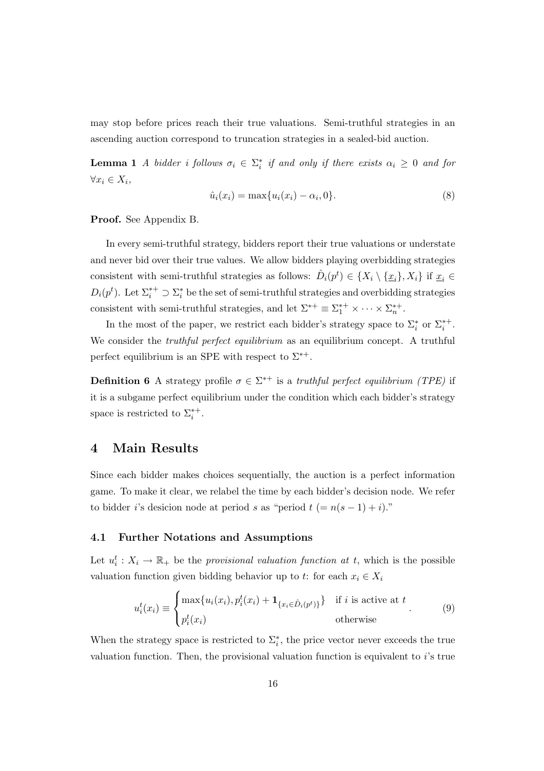may stop before prices reach their true valuations. Semi-truthful strategies in an ascending auction correspond to truncation strategies in a sealed-bid auction.

**Lemma 1** *A bidder i follows*  $\sigma_i \in \Sigma_i^*$  *if and only if there exists*  $\alpha_i \geq 0$  *and for ∀x<sup>i</sup> ∈ Xi,*

$$
\hat{u}_i(x_i) = \max\{u_i(x_i) - \alpha_i, 0\}.
$$
\n(8)

**Proof.** See Appendix B.

In every semi-truthful strategy, bidders report their true valuations or understate and never bid over their true values. We allow bidders playing overbidding strategies consistent with semi-truthful strategies as follows:  $\hat{D}_i(p^t) \in \{X_i \setminus \{\underline{x}_i\}, X_i\}$  if  $\underline{x}_i \in$  $D_i(p^t)$ . Let  $\Sigma_i^{*+} \supset \Sigma_i^*$  be the set of semi-truthful strategies and overbidding strategies consistent with semi-truthful strategies, and let  $\Sigma^{*+} \equiv \Sigma_1^{*+} \times \cdots \times \Sigma_n^{*+}$ .

In the most of the paper, we restrict each bidder's strategy space to  $\Sigma_i^*$  or  $\Sigma_i^{*+}$ . We consider the *truthful perfect equilibrium* as an equilibrium concept. A truthful perfect equilibrium is an SPE with respect to  $\Sigma^{*+}$ .

**Definition 6** A strategy profile  $\sigma \in \Sigma^{*+}$  is a *truthful perfect equilibrium (TPE)* if it is a subgame perfect equilibrium under the condition which each bidder's strategy space is restricted to  $\Sigma_i^{*+}$ .

# **4 Main Results**

Since each bidder makes choices sequentially, the auction is a perfect information game. To make it clear, we relabel the time by each bidder's decision node. We refer to bidder *i*'s desicion node at period *s* as "period  $t (= n(s - 1) + i)$ ."

## **4.1 Further Notations and Assumptions**

Let  $u_i^t: X_i \to \mathbb{R}_+$  be the *provisional valuation function at t*, which is the possible valuation function given bidding behavior up to *t*: for each  $x_i \in X_i$ 

$$
u_i^t(x_i) \equiv \begin{cases} \max\{u_i(x_i), p_i^t(x_i) + \mathbf{1}_{\{x_i \in \hat{D}_i(p^t)\}}\} & \text{if } i \text{ is active at } t \\ p_i^t(x_i) & \text{otherwise} \end{cases}
$$
(9)

When the strategy space is restricted to  $\Sigma_i^*$ , the price vector never exceeds the true valuation function. Then, the provisional valuation function is equivalent to *i*'s true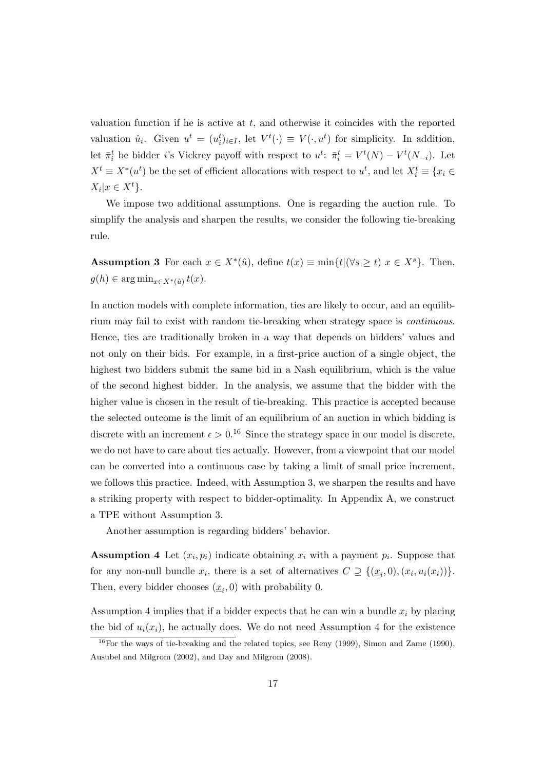valuation function if he is active at *t*, and otherwise it coincides with the reported valuation  $\hat{u}_i$ . Given  $u^t = (u_i^t)_{i \in I}$ , let  $V^t(\cdot) \equiv V(\cdot, u^t)$  for simplicity. In addition, let  $\bar{\pi}_i^t$  be bidder *i*'s Vickrey payoff with respect to  $u^t$ :  $\bar{\pi}_i^t = V^t(N) - V^t(N_{-i})$ . Let  $X^t \equiv X^*(u^t)$  be the set of efficient allocations with respect to  $u^t$ , and let  $X_i^t \equiv \{x_i \in$  $X_i|x \in X^t$ .

We impose two additional assumptions. One is regarding the auction rule. To simplify the analysis and sharpen the results, we consider the following tie-breaking rule.

**Assumption 3** For each  $x \in X^*(\hat{u})$ , define  $t(x) \equiv \min\{t | (\forall s \ge t) | x \in X^s\}$ . Then,  $g(h) \in \arg \min_{x \in X^*(\hat{u})} t(x).$ 

In auction models with complete information, ties are likely to occur, and an equilibrium may fail to exist with random tie-breaking when strategy space is *continuous*. Hence, ties are traditionally broken in a way that depends on bidders' values and not only on their bids. For example, in a first-price auction of a single object, the highest two bidders submit the same bid in a Nash equilibrium, which is the value of the second highest bidder. In the analysis, we assume that the bidder with the higher value is chosen in the result of tie-breaking. This practice is accepted because the selected outcome is the limit of an equilibrium of an auction in which bidding is discrete with an increment  $\epsilon > 0.1^6$  Since the strategy space in our model is discrete, we do not have to care about ties actually. However, from a viewpoint that our model can be converted into a continuous case by taking a limit of small price increment, we follows this practice. Indeed, with Assumption 3, we sharpen the results and have a striking property with respect to bidder-optimality. In Appendix A, we construct a TPE without Assumption 3.

Another assumption is regarding bidders' behavior.

**Assumption 4** Let  $(x_i, p_i)$  indicate obtaining  $x_i$  with a payment  $p_i$ . Suppose that for any non-null bundle  $x_i$ , there is a set of alternatives  $C \supseteq \{(\underline{x}_i, 0), (x_i, u_i(x_i))\}.$ Then, every bidder chooses  $(\underline{x}_i, 0)$  with probability 0.

Assumption 4 implies that if a bidder expects that he can win a bundle  $x_i$  by placing the bid of  $u_i(x_i)$ , he actually does. We do not need Assumption 4 for the existence

 $16$ For the ways of tie-breaking and the related topics, see Reny (1999), Simon and Zame (1990), Ausubel and Milgrom (2002), and Day and Milgrom (2008).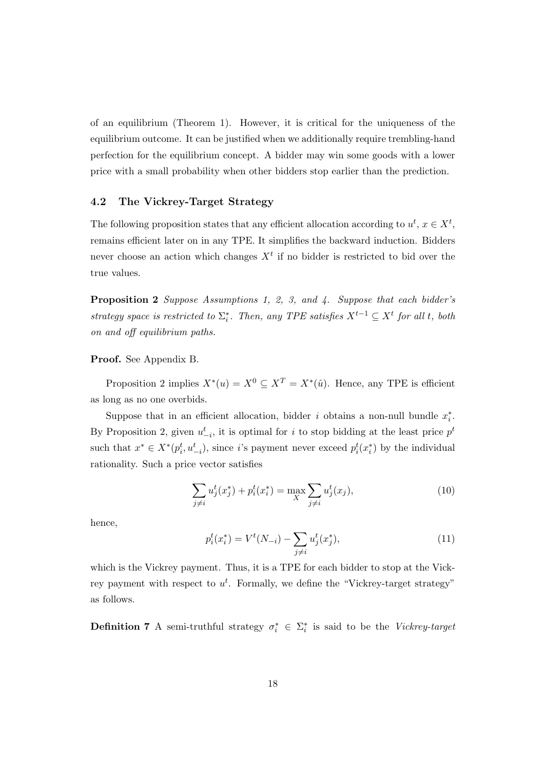of an equilibrium (Theorem 1). However, it is critical for the uniqueness of the equilibrium outcome. It can be justified when we additionally require trembling-hand perfection for the equilibrium concept. A bidder may win some goods with a lower price with a small probability when other bidders stop earlier than the prediction.

#### **4.2 The Vickrey-Target Strategy**

The following proposition states that any efficient allocation according to  $u^t, x \in X^t$ , remains efficient later on in any TPE. It simplifies the backward induction. Bidders never choose an action which changes  $X<sup>t</sup>$  if no bidder is restricted to bid over the true values.

**Proposition 2** *Suppose Assumptions 1, 2, 3, and 4. Suppose that each bidder's strategy space is restricted to*  $\Sigma_i^*$ *. Then, any TPE satisfies*  $X^{t-1} \subseteq X^t$  *for all t, both on and off equilibrium paths.*

#### **Proof.** See Appendix B.

Proposition 2 implies  $X^*(u) = X^0 \subseteq X^T = X^*(\hat{u})$ . Hence, any TPE is efficient as long as no one overbids.

Suppose that in an efficient allocation, bidder *i* obtains a non-null bundle  $x_i^*$ . By Proposition 2, given  $u_{-i}^t$ , it is optimal for *i* to stop bidding at the least price  $p^t$ such that  $x^* \in X^*(p_i^t, u_{-i}^t)$ , since *i*'s payment never exceed  $p_i^t(x_i^*)$  by the individual rationality. Such a price vector satisfies

$$
\sum_{j \neq i} u_j^t(x_j^*) + p_i^t(x_i^*) = \max_X \sum_{j \neq i} u_j^t(x_j),\tag{10}
$$

hence,

$$
p_i^t(x_i^*) = V^t(N_{-i}) - \sum_{j \neq i} u_j^t(x_j^*), \tag{11}
$$

which is the Vickrey payment. Thus, it is a TPE for each bidder to stop at the Vickrey payment with respect to  $u^t$ . Formally, we define the "Vickrey-target strategy" as follows.

**Definition 7** A semi-truthful strategy  $\sigma_i^* \in \Sigma_i^*$  is said to be the *Vickrey-target*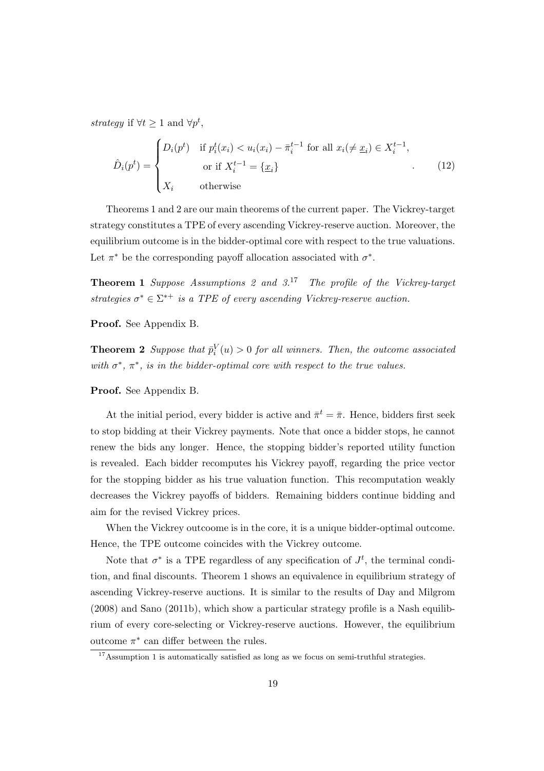*strategy* if  $\forall t \geq 1$  and  $\forall p^t$ ,

$$
\hat{D}_i(p^t) = \begin{cases}\nD_i(p^t) & \text{if } p_i^t(x_i) < u_i(x_i) - \bar{\pi}_i^{t-1} \text{ for all } x_i \neq \underline{x}_i \in X_i^{t-1}, \\
&\text{or if } X_i^{t-1} = \{\underline{x}_i\} \\
X_i & \text{otherwise}\n\end{cases} \tag{12}
$$

Theorems 1 and 2 are our main theorems of the current paper. The Vickrey-target strategy constitutes a TPE of every ascending Vickrey-reserve auction. Moreover, the equilibrium outcome is in the bidder-optimal core with respect to the true valuations. Let  $\pi^*$  be the corresponding payoff allocation associated with  $\sigma^*$ .

**Theorem 1** *Suppose Assumptions 2 and 3.*<sup>17</sup> *The profile of the Vickrey-target strategies*  $\sigma^* \in \Sigma^{*+}$  *is a TPE of every ascending Vickrey-reserve auction.* 

**Proof.** See Appendix B.

**Theorem 2** *Suppose that*  $\bar{p}_i^V(u) > 0$  *for all winners. Then, the outcome associated with*  $\sigma^*$ ,  $\pi^*$ , *is in the bidder-optimal core with respect to the true values.* 

**Proof.** See Appendix B.

At the initial period, every bidder is active and  $\bar{\pi}^t = \bar{\pi}$ . Hence, bidders first seek to stop bidding at their Vickrey payments. Note that once a bidder stops, he cannot renew the bids any longer. Hence, the stopping bidder's reported utility function is revealed. Each bidder recomputes his Vickrey payoff, regarding the price vector for the stopping bidder as his true valuation function. This recomputation weakly decreases the Vickrey payoffs of bidders. Remaining bidders continue bidding and aim for the revised Vickrey prices.

When the Vickrey outcoome is in the core, it is a unique bidder-optimal outcome. Hence, the TPE outcome coincides with the Vickrey outcome.

Note that  $\sigma^*$  is a TPE regardless of any specification of  $J^t$ , the terminal condition, and final discounts. Theorem 1 shows an equivalence in equilibrium strategy of ascending Vickrey-reserve auctions. It is similar to the results of Day and Milgrom (2008) and Sano (2011b), which show a particular strategy profile is a Nash equilibrium of every core-selecting or Vickrey-reserve auctions. However, the equilibrium outcome  $\pi^*$  can differ between the rules.

<sup>&</sup>lt;sup>17</sup>Assumption 1 is automatically satisfied as long as we focus on semi-truthful strategies.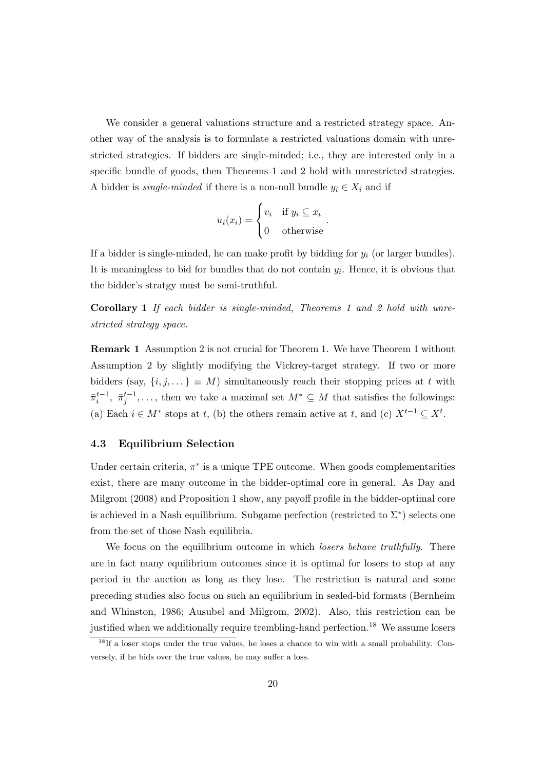We consider a general valuations structure and a restricted strategy space. Another way of the analysis is to formulate a restricted valuations domain with unrestricted strategies. If bidders are single-minded; i.e., they are interested only in a specific bundle of goods, then Theorems 1 and 2 hold with unrestricted strategies. A bidder is *single-minded* if there is a non-null bundle  $y_i \in X_i$  and if

$$
u_i(x_i) = \begin{cases} v_i & \text{if } y_i \subseteq x_i \\ 0 & \text{otherwise} \end{cases}.
$$

If a bidder is single-minded, he can make profit by bidding for *y<sup>i</sup>* (or larger bundles). It is meaningless to bid for bundles that do not contain  $y_i$ . Hence, it is obvious that the bidder's stratgy must be semi-truthful.

**Corollary 1** *If each bidder is single-minded, Theorems 1 and 2 hold with unrestricted strategy space.*

**Remark 1** Assumption 2 is not crucial for Theorem 1. We have Theorem 1 without Assumption 2 by slightly modifying the Vickrey-target strategy. If two or more bidders (say,  $\{i, j, \dots\} \equiv M$ ) simultaneously reach their stopping prices at *t* with  $\bar{\pi}_i^{t-1}$ ,  $\bar{\pi}_j^{t-1}$ ,..., then we take a maximal set  $M^* \subseteq M$  that satisfies the followings: (a) Each  $i \in M^*$  stops at *t*, (b) the others remain active at *t*, and (c)  $X^{t-1} \subseteq X^t$ .

#### **4.3 Equilibrium Selection**

Under certain criteria,  $\pi^*$  is a unique TPE outcome. When goods complementarities exist, there are many outcome in the bidder-optimal core in general. As Day and Milgrom (2008) and Proposition 1 show, any payoff profile in the bidder-optimal core is achieved in a Nash equilibrium. Subgame perfection (restricted to  $\Sigma^*$ ) selects one from the set of those Nash equilibria.

We focus on the equilibrium outcome in which *losers behave truthfully*. There are in fact many equilibrium outcomes since it is optimal for losers to stop at any period in the auction as long as they lose. The restriction is natural and some preceding studies also focus on such an equilibrium in sealed-bid formats (Bernheim and Whinston, 1986; Ausubel and Milgrom, 2002). Also, this restriction can be justified when we additionally require trembling-hand perfection.<sup>18</sup> We assume losers

<sup>&</sup>lt;sup>18</sup>If a loser stops under the true values, he loses a chance to win with a small probability. Conversely, if he bids over the true values, he may suffer a loss.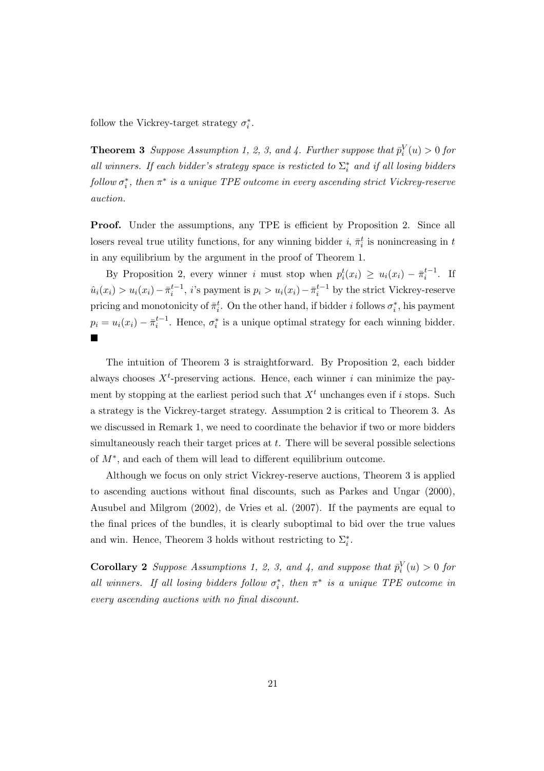follow the Vickrey-target strategy  $\sigma_i^*$ .

**Theorem 3** *Suppose Assumption 1, 2, 3, and 4. Further suppose that*  $\bar{p}_i^V(u) > 0$  for *all winners. If each bidder's strategy space is resticted to*  $\Sigma_i^*$  *and if all losing bidders*  $f$ ollow  $\sigma_i^*$ , then  $\pi^*$  is a unique TPE outcome in every ascending strict Vickrey-reserve *auction.*

**Proof.** Under the assumptions, any TPE is efficient by Proposition 2. Since all losers reveal true utility functions, for any winning bidder *i*,  $\bar{\pi}^t_i$  is nonincreasing in *t* in any equilibrium by the argument in the proof of Theorem 1.

By Proposition 2, every winner *i* must stop when  $p_i^t(x_i) \ge u_i(x_i) - \bar{\pi}_i^{t-1}$ . If  $\hat{u}_i(x_i) > u_i(x_i) - \bar{\pi}_i^{t-1}$ , *i*'s payment is  $p_i > u_i(x_i) - \bar{\pi}_i^{t-1}$  by the strict Vickrey-reserve pricing and monotonicity of  $\bar{\pi}^t_i$ . On the other hand, if bidder *i* follows  $\sigma^*_i$ , his payment  $p_i = u_i(x_i) - \bar{\pi}_i^{t-1}$ . Hence,  $\sigma_i^*$  is a unique optimal strategy for each winning bidder. ¥

The intuition of Theorem 3 is straightforward. By Proposition 2, each bidder always chooses  $X<sup>t</sup>$ -preserving actions. Hence, each winner *i* can minimize the payment by stopping at the earliest period such that  $X<sup>t</sup>$  unchanges even if *i* stops. Such a strategy is the Vickrey-target strategy. Assumption 2 is critical to Theorem 3. As we discussed in Remark 1, we need to coordinate the behavior if two or more bidders simultaneously reach their target prices at *t*. There will be several possible selections of *M<sup>∗</sup>* , and each of them will lead to different equilibrium outcome.

Although we focus on only strict Vickrey-reserve auctions, Theorem 3 is applied to ascending auctions without final discounts, such as Parkes and Ungar (2000), Ausubel and Milgrom (2002), de Vries et al. (2007). If the payments are equal to the final prices of the bundles, it is clearly suboptimal to bid over the true values and win. Hence, Theorem 3 holds without restricting to  $\Sigma_i^*$ .

**Corollary 2** *Suppose Assumptions 1, 2, 3, and 4, and suppose that*  $\bar{p}_i^V(u) > 0$  *for all winners.* If all losing bidders follow  $\sigma_i^*$ , then  $\pi^*$  is a unique TPE outcome in *every ascending auctions with no final discount.*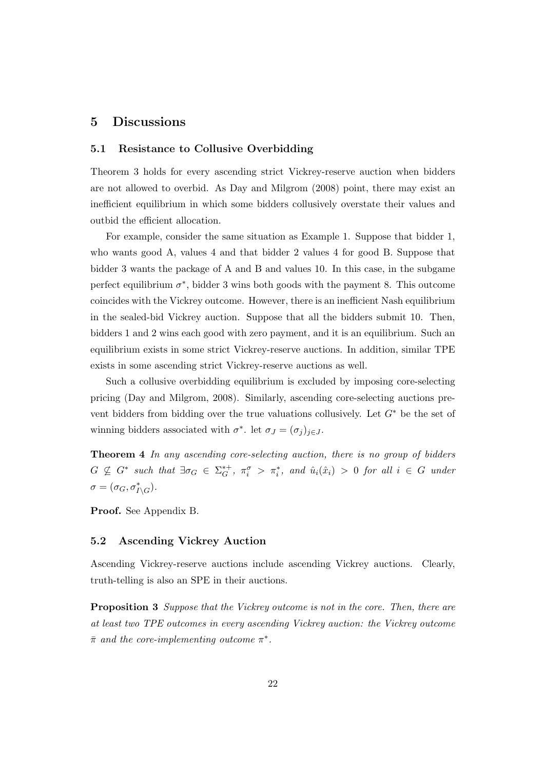## **5 Discussions**

#### **5.1 Resistance to Collusive Overbidding**

Theorem 3 holds for every ascending strict Vickrey-reserve auction when bidders are not allowed to overbid. As Day and Milgrom (2008) point, there may exist an inefficient equilibrium in which some bidders collusively overstate their values and outbid the efficient allocation.

For example, consider the same situation as Example 1. Suppose that bidder 1, who wants good A, values 4 and that bidder 2 values 4 for good B. Suppose that bidder 3 wants the package of A and B and values 10. In this case, in the subgame perfect equilibrium  $\sigma^*$ , bidder 3 wins both goods with the payment 8. This outcome coincides with the Vickrey outcome. However, there is an inefficient Nash equilibrium in the sealed-bid Vickrey auction. Suppose that all the bidders submit 10. Then, bidders 1 and 2 wins each good with zero payment, and it is an equilibrium. Such an equilibrium exists in some strict Vickrey-reserve auctions. In addition, similar TPE exists in some ascending strict Vickrey-reserve auctions as well.

Such a collusive overbidding equilibrium is excluded by imposing core-selecting pricing (Day and Milgrom, 2008). Similarly, ascending core-selecting auctions prevent bidders from bidding over the true valuations collusively. Let *G<sup>∗</sup>* be the set of winning bidders associated with  $\sigma^*$ . let  $\sigma_J = (\sigma_j)_{j \in J}$ .

**Theorem 4** *In any ascending core-selecting auction, there is no group of bidders*  $G \nsubseteq G^*$  such that  $\exists \sigma_G \in \Sigma_G^{*+}, \ \pi_i^{\sigma} > \pi_i^*$ , and  $\hat{u}_i(\hat{x}_i) > 0$  for all  $i \in G$  under  $\sigma = (\sigma_G, \sigma_{I \setminus G}^*)$ .

**Proof.** See Appendix B.

#### **5.2 Ascending Vickrey Auction**

Ascending Vickrey-reserve auctions include ascending Vickrey auctions. Clearly, truth-telling is also an SPE in their auctions.

**Proposition 3** *Suppose that the Vickrey outcome is not in the core. Then, there are at least two TPE outcomes in every ascending Vickrey auction: the Vickrey outcome π*¯ *and the core-implementing outcome π ∗ .*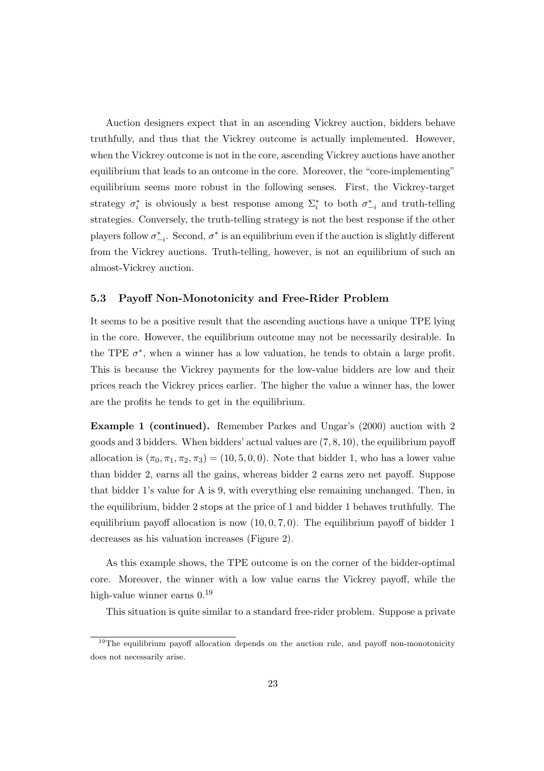Auction designers expect that in an ascending Vickrey auction, bidders behave truthfully, and thus that the Vickrey outcome is actually implemented. However, when the Vickrey outcome is not in the core, ascending Vickrey auctions have another equilibrium that leads to an outcome in the core. Moreover, the "core-implementing" equilibrium seems more robust in the following senses. First, the Vickrey-target strategy  $\sigma_i^*$  is obviously a best response among  $\Sigma_i^*$  to both  $\sigma_{-i}^*$  and truth-telling strategies. Conversely, the truth-telling strategy is not the best response if the other players follow  $\sigma_{-i}^*$ . Second,  $\sigma^*$  is an equilibrium even if the auction is slightly different from the Vickrey auctions. Truth-telling, however, is not an equilibrium of such an almost-Vickrey auction.

#### **5.3 Payoff Non-Monotonicity and Free-Rider Problem**

It seems to be a positive result that the ascending auctions have a unique TPE lying in the core. However, the equilibrium outcome may not be necessarily desirable. In the TPE  $\sigma^*$ , when a winner has a low valuation, he tends to obtain a large profit. This is because the Vickrey payments for the low-value bidders are low and their prices reach the Vickrey prices earlier. The higher the value a winner has, the lower are the profits he tends to get in the equilibrium.

**Example 1 (continued).** Remember Parkes and Ungar's (2000) auction with 2 goods and 3 bidders. When bidders' actual values are (7*,* 8*,* 10), the equilibrium payoff allocation is  $(\pi_0, \pi_1, \pi_2, \pi_3) = (10, 5, 0, 0)$ . Note that bidder 1, who has a lower value than bidder 2, earns all the gains, whereas bidder 2 earns zero net payoff. Suppose that bidder 1's value for A is 9, with everything else remaining unchanged. Then, in the equilibrium, bidder 2 stops at the price of 1 and bidder 1 behaves truthfully. The equilibrium payoff allocation is now  $(10, 0, 7, 0)$ . The equilibrium payoff of bidder 1 decreases as his valuation increases (Figure 2).

As this example shows, the TPE outcome is on the corner of the bidder-optimal core. Moreover, the winner with a low value earns the Vickrey payoff, while the high-value winner earns  $0<sup>19</sup>$ 

This situation is quite similar to a standard free-rider problem. Suppose a private

 $19$ The equilibrium payoff allocation depends on the auction rule, and payoff non-monotonicity does not necessarily arise.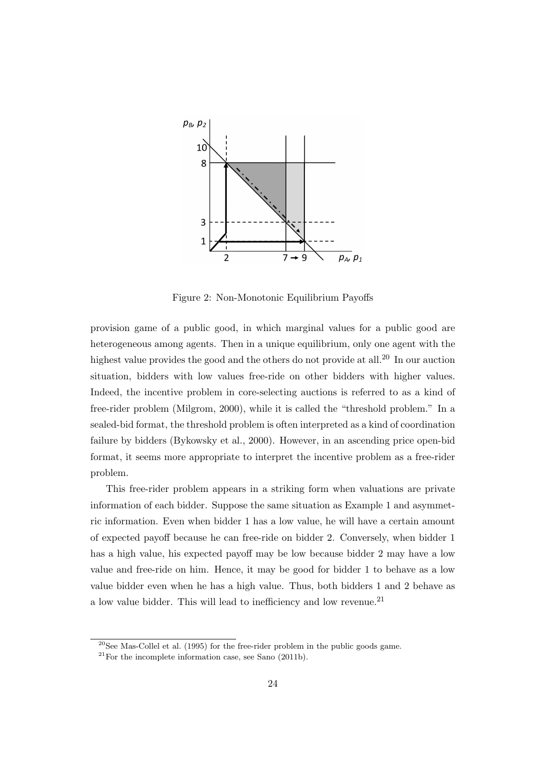

Figure 2: Non-Monotonic Equilibrium Payoffs

provision game of a public good, in which marginal values for a public good are heterogeneous among agents. Then in a unique equilibrium, only one agent with the highest value provides the good and the others do not provide at all.<sup>20</sup> In our auction situation, bidders with low values free-ride on other bidders with higher values. Indeed, the incentive problem in core-selecting auctions is referred to as a kind of free-rider problem (Milgrom, 2000), while it is called the "threshold problem." In a sealed-bid format, the threshold problem is often interpreted as a kind of coordination failure by bidders (Bykowsky et al., 2000). However, in an ascending price open-bid format, it seems more appropriate to interpret the incentive problem as a free-rider problem.

This free-rider problem appears in a striking form when valuations are private information of each bidder. Suppose the same situation as Example 1 and asymmetric information. Even when bidder 1 has a low value, he will have a certain amount of expected payoff because he can free-ride on bidder 2. Conversely, when bidder 1 has a high value, his expected payoff may be low because bidder 2 may have a low value and free-ride on him. Hence, it may be good for bidder 1 to behave as a low value bidder even when he has a high value. Thus, both bidders 1 and 2 behave as a low value bidder. This will lead to inefficiency and low revenue.<sup>21</sup>

 $20$ See Mas-Collel et al. (1995) for the free-rider problem in the public goods game.

 $^{21}$ For the incomplete information case, see Sano (2011b).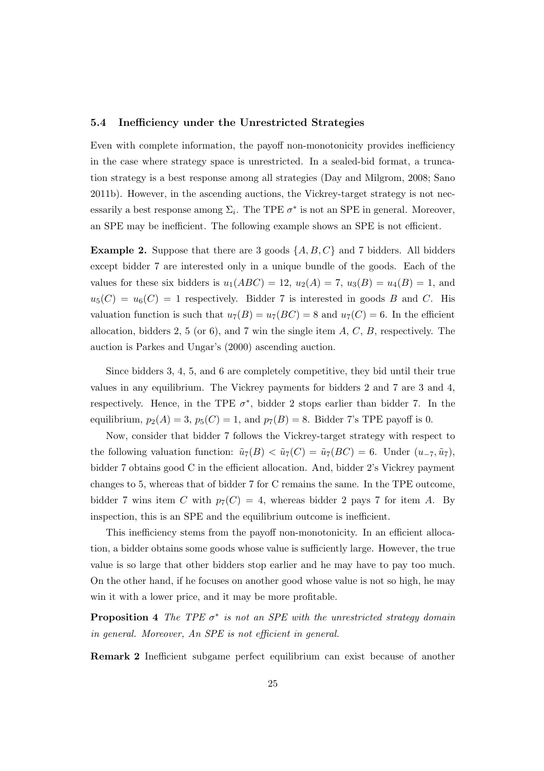#### **5.4 Inefficiency under the Unrestricted Strategies**

Even with complete information, the payoff non-monotonicity provides inefficiency in the case where strategy space is unrestricted. In a sealed-bid format, a truncation strategy is a best response among all strategies (Day and Milgrom, 2008; Sano 2011b). However, in the ascending auctions, the Vickrey-target strategy is not necessarily a best response among  $\Sigma_i$ . The TPE  $\sigma^*$  is not an SPE in general. Moreover, an SPE may be inefficient. The following example shows an SPE is not efficient.

**Example 2.** Suppose that there are 3 goods  $\{A, B, C\}$  and 7 bidders. All bidders except bidder 7 are interested only in a unique bundle of the goods. Each of the values for these six bidders is  $u_1(ABC) = 12$ ,  $u_2(A) = 7$ ,  $u_3(B) = u_4(B) = 1$ , and  $u_5(C) = u_6(C) = 1$  respectively. Bidder 7 is interested in goods *B* and *C*. His valuation function is such that  $u_7(B) = u_7(BC) = 8$  and  $u_7(C) = 6$ . In the efficient allocation, bidders 2, 5 (or 6), and 7 win the single item *A*, *C*, *B*, respectively. The auction is Parkes and Ungar's (2000) ascending auction.

Since bidders 3, 4, 5, and 6 are completely competitive, they bid until their true values in any equilibrium. The Vickrey payments for bidders 2 and 7 are 3 and 4, respectively. Hence, in the TPE  $\sigma^*$ , bidder 2 stops earlier than bidder 7. In the equilibrium,  $p_2(A) = 3$ ,  $p_5(C) = 1$ , and  $p_7(B) = 8$ . Bidder 7's TPE payoff is 0.

Now, consider that bidder 7 follows the Vickrey-target strategy with respect to the following valuation function:  $\tilde{u}_7(B) < \tilde{u}_7(C) = \tilde{u}_7(BC) = 6$ . Under  $(u_{-7}, \tilde{u}_7)$ , bidder 7 obtains good C in the efficient allocation. And, bidder 2's Vickrey payment changes to 5, whereas that of bidder 7 for C remains the same. In the TPE outcome, bidder 7 wins item *C* with  $p_7(C) = 4$ , whereas bidder 2 pays 7 for item *A*. By inspection, this is an SPE and the equilibrium outcome is inefficient.

This inefficiency stems from the payoff non-monotonicity. In an efficient allocation, a bidder obtains some goods whose value is sufficiently large. However, the true value is so large that other bidders stop earlier and he may have to pay too much. On the other hand, if he focuses on another good whose value is not so high, he may win it with a lower price, and it may be more profitable.

**Proposition 4** *The TPE*  $\sigma^*$  *is not an SPE with the unrestricted strategy domain in general. Moreover, An SPE is not efficient in general.*

**Remark 2** Inefficient subgame perfect equilibrium can exist because of another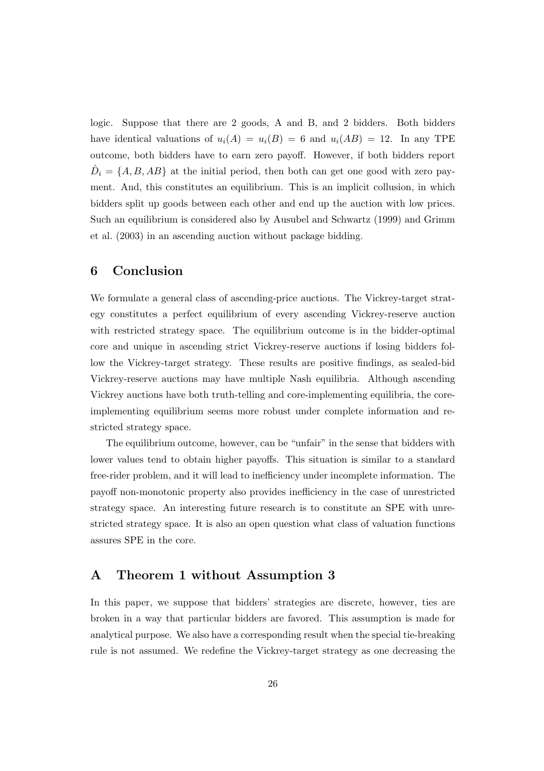logic. Suppose that there are 2 goods, A and B, and 2 bidders. Both bidders have identical valuations of  $u_i(A) = u_i(B) = 6$  and  $u_i(AB) = 12$ . In any TPE outcome, both bidders have to earn zero payoff. However, if both bidders report  $\hat{D}_i = \{A, B, AB\}$  at the initial period, then both can get one good with zero payment. And, this constitutes an equilibrium. This is an implicit collusion, in which bidders split up goods between each other and end up the auction with low prices. Such an equilibrium is considered also by Ausubel and Schwartz (1999) and Grimm et al. (2003) in an ascending auction without package bidding.

## **6 Conclusion**

We formulate a general class of ascending-price auctions. The Vickrey-target strategy constitutes a perfect equilibrium of every ascending Vickrey-reserve auction with restricted strategy space. The equilibrium outcome is in the bidder-optimal core and unique in ascending strict Vickrey-reserve auctions if losing bidders follow the Vickrey-target strategy. These results are positive findings, as sealed-bid Vickrey-reserve auctions may have multiple Nash equilibria. Although ascending Vickrey auctions have both truth-telling and core-implementing equilibria, the coreimplementing equilibrium seems more robust under complete information and restricted strategy space.

The equilibrium outcome, however, can be "unfair" in the sense that bidders with lower values tend to obtain higher payoffs. This situation is similar to a standard free-rider problem, and it will lead to inefficiency under incomplete information. The payoff non-monotonic property also provides inefficiency in the case of unrestricted strategy space. An interesting future research is to constitute an SPE with unrestricted strategy space. It is also an open question what class of valuation functions assures SPE in the core.

# **A Theorem 1 without Assumption 3**

In this paper, we suppose that bidders' strategies are discrete, however, ties are broken in a way that particular bidders are favored. This assumption is made for analytical purpose. We also have a corresponding result when the special tie-breaking rule is not assumed. We redefine the Vickrey-target strategy as one decreasing the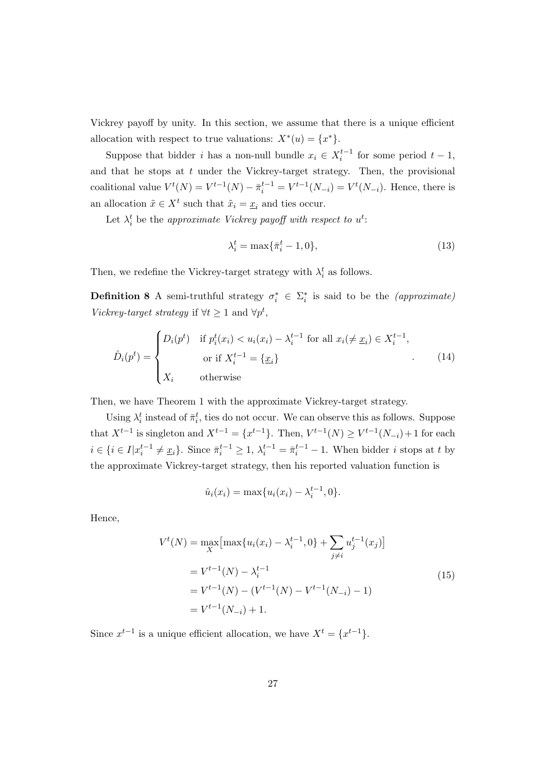Vickrey payoff by unity. In this section, we assume that there is a unique efficient allocation with respect to true valuations:  $X^*(u) = \{x^*\}.$ 

Suppose that bidder *i* has a non-null bundle  $x_i \in X_i^{t-1}$  for some period  $t-1$ , and that he stops at *t* under the Vickrey-target strategy. Then, the provisional coalitional value  $V^t(N) = V^{t-1}(N) - \bar{\pi}_i^{t-1} = V^{t-1}(N_{-i}) = V^t(N_{-i}).$  Hence, there is an allocation  $\tilde{x} \in X^t$  such that  $\tilde{x}_i = \underline{x}_i$  and ties occur.

Let  $\lambda_i^t$  be the *approximate Vickrey payoff with respect to*  $u^t$ *:* 

$$
\lambda_i^t = \max\{\bar{\pi}_i^t - 1, 0\},\tag{13}
$$

Then, we redefine the Vickrey-target strategy with  $\lambda_i^t$  as follows.

**Definition 8** A semi-truthful strategy  $\sigma_i^* \in \Sigma_i^*$  is said to be the *(approximate) Vickrey-target strategy* if  $\forall t \geq 1$  and  $\forall p^t$ ,

$$
\hat{D}_i(p^t) = \begin{cases}\nD_i(p^t) & \text{if } p_i^t(x_i) < u_i(x_i) - \lambda_i^{t-1} \text{ for all } x_i \neq \underline{x}_i \in X_i^{t-1}, \\
&\text{or if } X_i^{t-1} = \{\underline{x}_i\} \\
X_i & \text{otherwise}\n\end{cases} \tag{14}
$$

Then, we have Theorem 1 with the approximate Vickrey-target strategy.

Using  $\lambda_i^t$  instead of  $\bar{\pi}_i^t$ , ties do not occur. We can observe this as follows. Suppose that  $X^{t-1}$  is singleton and  $X^{t-1} = \{x^{t-1}\}\$ . Then,  $V^{t-1}(N) \geq V^{t-1}(N_{-i}) + 1$  for each  $i \in \{i \in I | x_i^{t-1} \neq \underline{x}_i\}.$  Since  $\bar{\pi}_i^{t-1} \geq 1$ ,  $\lambda_i^{t-1} = \bar{\pi}_i^{t-1} - 1$ . When bidder i stops at t by the approximate Vickrey-target strategy, then his reported valuation function is

$$
\hat{u}_i(x_i) = \max\{u_i(x_i) - \lambda_i^{t-1}, 0\}.
$$

Hence,

$$
V^{t}(N) = \max_{X} \left[ \max\{u_{i}(x_{i}) - \lambda_{i}^{t-1}, 0\} + \sum_{j \neq i} u_{j}^{t-1}(x_{j}) \right]
$$
  
=  $V^{t-1}(N) - \lambda_{i}^{t-1}$   
=  $V^{t-1}(N) - (V^{t-1}(N) - V^{t-1}(N_{-i}) - 1)$   
=  $V^{t-1}(N_{-i}) + 1$ . (15)

Since  $x^{t-1}$  is a unique efficient allocation, we have  $X^t = \{x^{t-1}\}.$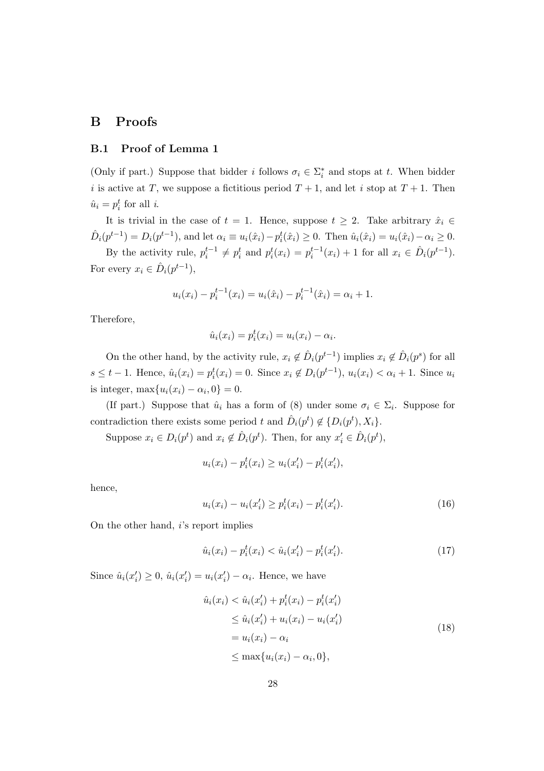# **B Proofs**

#### **B.1 Proof of Lemma 1**

(Only if part.) Suppose that bidder *i* follows  $\sigma_i \in \Sigma_i^*$  and stops at *t*. When bidder *i* is active at *T*, we suppose a fictitious period  $T + 1$ , and let *i* stop at  $T + 1$ . Then  $\hat{u}_i = p_i^t$  for all *i*.

It is trivial in the case of  $t = 1$ . Hence, suppose  $t \geq 2$ . Take arbitrary  $\hat{x}_i \in$  $\hat{D}_i(p^{t-1}) = D_i(p^{t-1}),$  and let  $\alpha_i \equiv u_i(\hat{x}_i) - p_i^t(\hat{x}_i) \ge 0$ . Then  $\hat{u}_i(\hat{x}_i) = u_i(\hat{x}_i) - \alpha_i \ge 0$ .

By the activity rule,  $p_i^{t-1} \neq p_i^t$  and  $p_i^t(x_i) = p_i^{t-1}(x_i) + 1$  for all  $x_i \in \hat{D}_i(p^{t-1})$ . For every  $x_i \in \hat{D}_i(p^{t-1}),$ 

$$
u_i(x_i) - p_i^{t-1}(x_i) = u_i(\hat{x}_i) - p_i^{t-1}(\hat{x}_i) = \alpha_i + 1.
$$

Therefore,

$$
\hat{u}_i(x_i) = p_i^t(x_i) = u_i(x_i) - \alpha_i.
$$

On the other hand, by the activity rule,  $x_i \notin \hat{D}_i(p^{t-1})$  implies  $x_i \notin \hat{D}_i(p^s)$  for all  $s \le t - 1$ . Hence,  $\hat{u}_i(x_i) = p_i^t(x_i) = 0$ . Since  $x_i \notin D_i(p^{t-1}), u_i(x_i) < \alpha_i + 1$ . Since  $u_i$ is integer,  $\max\{u_i(x_i) - \alpha_i, 0\} = 0.$ 

(If part.) Suppose that  $\hat{u}_i$  has a form of (8) under some  $\sigma_i \in \Sigma_i$ . Suppose for contradiction there exists some period *t* and  $\hat{D}_i(p^t) \notin \{D_i(p^t), X_i\}.$ 

Suppose  $x_i \in D_i(p^t)$  and  $x_i \notin \hat{D}_i(p^t)$ . Then, for any  $x'_i \in \hat{D}_i(p^t)$ ,

$$
u_i(x_i) - p_i^t(x_i) \ge u_i(x_i') - p_i^t(x_i'),
$$

hence,

$$
u_i(x_i) - u_i(x_i') \ge p_i^t(x_i) - p_i^t(x_i').
$$
\n(16)

On the other hand, *i*'s report implies

$$
\hat{u}_i(x_i) - p_i^t(x_i) < \hat{u}_i(x_i') - p_i^t(x_i').\tag{17}
$$

Since  $\hat{u}_i(x_i') \geq 0$ ,  $\hat{u}_i(x_i') = u_i(x_i') - \alpha_i$ . Hence, we have

$$
\hat{u}_i(x_i) < \hat{u}_i(x_i') + p_i^t(x_i) - p_i^t(x_i')
$$
\n
$$
\leq \hat{u}_i(x_i') + u_i(x_i) - u_i(x_i')
$$
\n
$$
= u_i(x_i) - \alpha_i
$$
\n
$$
\leq \max\{u_i(x_i) - \alpha_i, 0\},
$$
\n(18)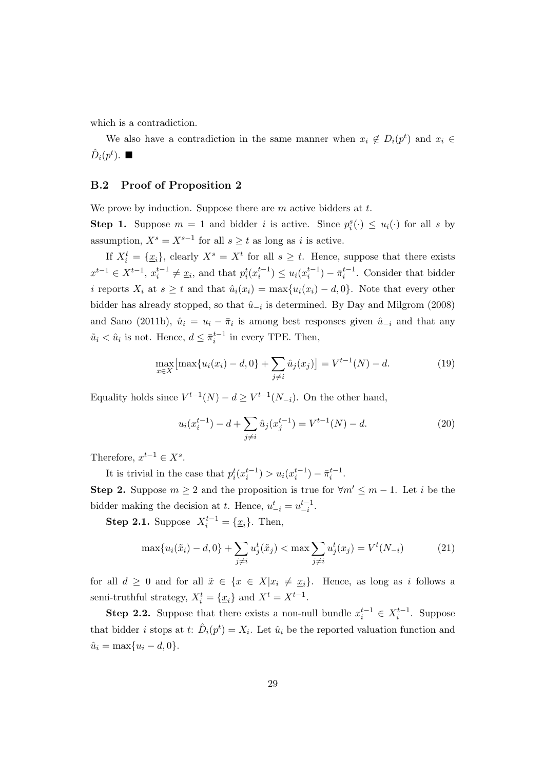which is a contradiction.

We also have a contradiction in the same manner when  $x_i \notin D_i(p^t)$  and  $x_i \in$  $\hat{D}_i(p^t)$ .  $\blacksquare$ 

#### **B.2 Proof of Proposition 2**

We prove by induction. Suppose there are *m* active bidders at *t*.

**Step 1.** Suppose  $m = 1$  and bidder *i* is active. Since  $p_i^s(\cdot) \leq u_i(\cdot)$  for all *s* by assumption,  $X^s = X^{s-1}$  for all  $s \ge t$  as long as *i* is active.

If  $X_i^t = {\underline{x_i}}$ , clearly  $X^s = X^t$  for all  $s \ge t$ . Hence, suppose that there exists  $x^{t-1} \in X^{t-1}, x_i^{t-1} \neq \underline{x}_i$ , and that  $p_i^t(x_i^{t-1}) \leq u_i(x_i^{t-1}) - \overline{\pi}_i^{t-1}$ . Consider that bidder *i* reports  $X_i$  at  $s \geq t$  and that  $\hat{u}_i(x_i) = \max\{u_i(x_i) - d, 0\}$ . Note that every other bidder has already stopped, so that  $\hat{u}_{-i}$  is determined. By Day and Milgrom (2008) and Sano (2011b),  $\hat{u}_i = u_i - \bar{\pi}_i$  is among best responses given  $\hat{u}_{-i}$  and that any  $\tilde{u}_i < \hat{u}_i$  is not. Hence,  $d \leq \pi_i^{t-1}$  in every TPE. Then,

$$
\max_{x \in X} \left[ \max \{ u_i(x_i) - d, 0 \} + \sum_{j \neq i} \hat{u}_j(x_j) \right] = V^{t-1}(N) - d. \tag{19}
$$

Equality holds since  $V^{t-1}(N) - d \geq V^{t-1}(N_{-i})$ . On the other hand,

$$
u_i(x_i^{t-1}) - d + \sum_{j \neq i} \hat{u}_j(x_j^{t-1}) = V^{t-1}(N) - d.
$$
 (20)

Therefore,  $x^{t-1} \in X^s$ .

It is trivial in the case that  $p_i^t(x_i^{t-1}) > u_i(x_i^{t-1}) - \bar{\pi}_i^{t-1}$ . **Step 2.** Suppose  $m \geq 2$  and the proposition is true for  $\forall m' \leq m-1$ . Let *i* be the bidder making the decision at *t*. Hence,  $u_{-i}^t = u_{-i}^{t-1}$ .

**Step 2.1.** Suppose  $X_i^{t-1} = \{x_i\}$ . Then,

$$
\max\{u_i(\tilde{x}_i) - d, 0\} + \sum_{j \neq i} u_j^t(\tilde{x}_j) < \max\sum_{j \neq i} u_j^t(x_j) = V^t(N_{-i})\tag{21}
$$

for all  $d \geq 0$  and for all  $\tilde{x} \in \{x \in X | x_i \neq x_i\}$ . Hence, as long as *i* follows a semi-truthful strategy,  $X_i^t = \{ \underline{x}_i \}$  and  $X^t = X^{t-1}$ .

**Step 2.2.** Suppose that there exists a non-null bundle  $x_i^{t-1} \in X_i^{t-1}$ . Suppose that bidder *i* stops at *t*:  $\hat{D}_i(p^t) = X_i$ . Let  $\hat{u}_i$  be the reported valuation function and  $\hat{u}_i = \max\{u_i - d, 0\}.$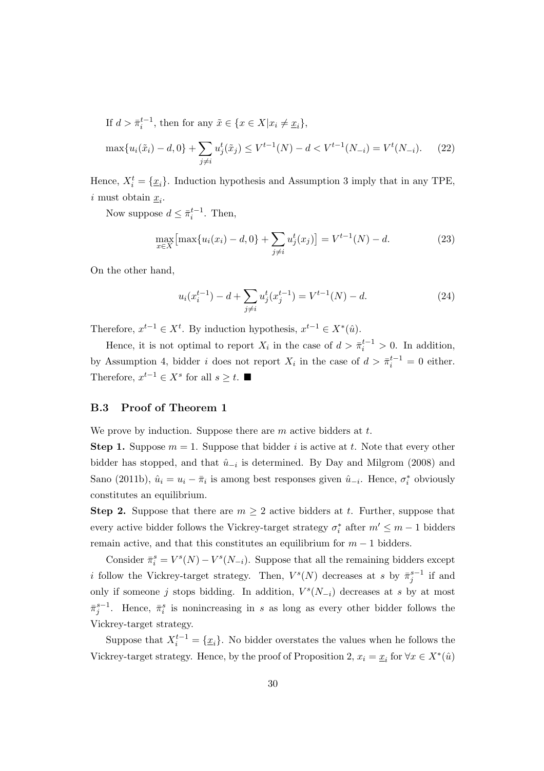If  $d > \overline{\pi}_i^{t-1}$ , then for any  $\tilde{x} \in \{x \in X | x_i \neq \underline{x}_i\},\$ 

$$
\max\{u_i(\tilde{x}_i) - d, 0\} + \sum_{j \neq i} u_j^t(\tilde{x}_j) \le V^{t-1}(N) - d < V^{t-1}(N_{-i}) = V^t(N_{-i}).\tag{22}
$$

Hence,  $X_i^t = {\underline{x_i}}$ . Induction hypothesis and Assumption 3 imply that in any TPE, *i* must obtain  $\underline{x}_i$ .

Now suppose  $d \leq \overline{\pi}_i^{t-1}$ . Then,

$$
\max_{x \in X} \left[ \max \{ u_i(x_i) - d, 0 \} + \sum_{j \neq i} u_j^t(x_j) \right] = V^{t-1}(N) - d. \tag{23}
$$

On the other hand,

$$
u_i(x_i^{t-1}) - d + \sum_{j \neq i} u_j^t(x_j^{t-1}) = V^{t-1}(N) - d.
$$
 (24)

Therefore,  $x^{t-1} \in X^t$ . By induction hypothesis,  $x^{t-1} \in X^*(\hat{u})$ .

Hence, it is not optimal to report  $X_i$  in the case of  $d > \bar{\pi}_i^{t-1} > 0$ . In addition, by Assumption 4, bidder *i* does not report  $X_i$  in the case of  $d > \bar{\pi}_i^{t-1} = 0$  either. Therefore,  $x^{t-1} \in X^s$  for all  $s \geq t$ .

#### **B.3 Proof of Theorem 1**

We prove by induction. Suppose there are *m* active bidders at *t*.

**Step 1.** Suppose  $m = 1$ . Suppose that bidder *i* is active at *t*. Note that every other bidder has stopped, and that  $\hat{u}_{-i}$  is determined. By Day and Milgrom (2008) and Sano (2011b),  $\hat{u}_i = u_i - \bar{\pi}_i$  is among best responses given  $\hat{u}_{-i}$ . Hence,  $\sigma_i^*$  obviously constitutes an equilibrium.

**Step 2.** Suppose that there are  $m \geq 2$  active bidders at t. Further, suppose that every active bidder follows the Vickrey-target strategy  $\sigma_i^*$  after  $m' \leq m - 1$  bidders remain active, and that this constitutes an equilibrium for *m −* 1 bidders.

Consider  $\bar{\pi}_i^s = V^s(N) - V^s(N_{-i})$ . Suppose that all the remaining bidders except *i* follow the Vickrey-target strategy. Then,  $V^s(N)$  decreases at *s* by  $\bar{\pi}_j^{s-1}$  if and only if someone *j* stops bidding. In addition,  $V^s(N_{-i})$  decreases at *s* by at most  $\bar{\pi}_j^{s-1}$ . Hence,  $\bar{\pi}_i^s$  is nonincreasing in *s* as long as every other bidder follows the Vickrey-target strategy.

Suppose that  $X_i^{t-1} = \{x_i\}$ . No bidder overstates the values when he follows the Vickrey-target strategy. Hence, by the proof of Proposition 2,  $x_i = \underline{x}_i$  for  $\forall x \in X^*(\hat{u})$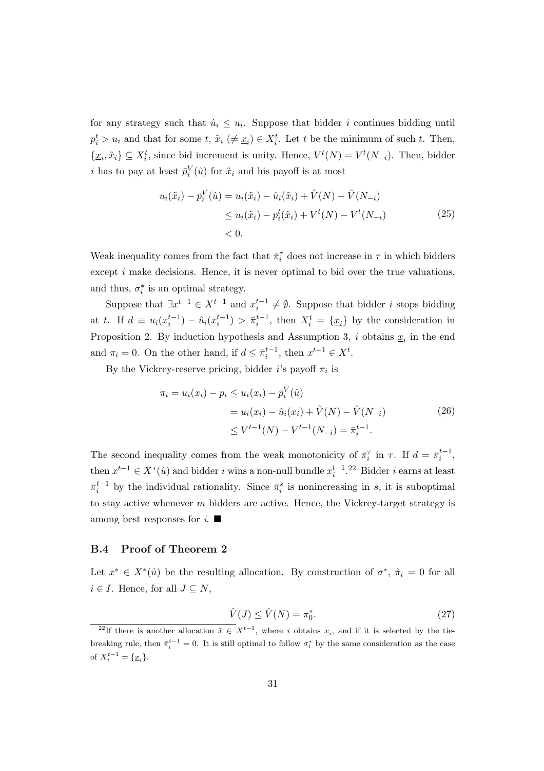for any strategy such that  $\hat{u}_i \leq u_i$ . Suppose that bidder *i* continues bidding until  $p_i^t > u_i$  and that for some *t*,  $\tilde{x}_i \neq \underline{x}_i$   $\in X_i^t$ . Let *t* be the minimum of such *t*. Then, *{x*<sub>*i*</sub></sub>,  $\tilde{x}_i$ } ⊆ *X*<sup>*t*</sup><sub>*i*</sub>, since bid increment is unity. Hence, *V*<sup>*t*</sup>(*N*) = *V*<sup>*t*</sup>(*N*<sub>−*i*</sub>). Then, bidder *i* has to pay at least  $\bar{p}_i^V(\hat{u})$  for  $\tilde{x}_i$  and his payoff is at most

$$
u_i(\tilde{x}_i) - \bar{p}_i^V(\hat{u}) = u_i(\tilde{x}_i) - \hat{u}_i(\tilde{x}_i) + \hat{V}(N) - \hat{V}(N_{-i})
$$
  
\n
$$
\leq u_i(\tilde{x}_i) - p_i^t(\tilde{x}_i) + V^t(N) - V^t(N_{-i})
$$
  
\n
$$
< 0.
$$
\n(25)

Weak inequality comes from the fact that  $\bar{\pi}^{\tau}_i$  does not increase in  $\tau$  in which bidders except *i* make decisions. Hence, it is never optimal to bid over the true valuations, and thus,  $\sigma_i^*$  is an optimal strategy.

Suppose that  $\exists x^{t-1} \in X^{t-1}$  and  $x_i^{t-1} \neq \emptyset$ . Suppose that bidder *i* stops bidding at t. If  $d \equiv u_i(x_i^{t-1}) - \hat{u}_i(x_i^{t-1}) > \bar{\pi}_i^{t-1}$ , then  $X_i^t = {\underline{x}_i}$  by the consideration in Proposition 2. By induction hypothesis and Assumption 3, *i* obtains  $\underline{x}_i$  in the end and  $\pi_i = 0$ . On the other hand, if  $d \leq \pi_i^{t-1}$ , then  $x^{t-1} \in X^t$ .

By the Vickrey-reserve pricing, bidder *i*'s payoff  $\pi_i$  is

$$
\pi_i = u_i(x_i) - p_i \le u_i(x_i) - \bar{p}_i^V(\hat{u})
$$
  
=  $u_i(x_i) - \hat{u}_i(x_i) + \hat{V}(N) - \hat{V}(N_{-i})$  (26)  
 $\le V^{t-1}(N) - V^{t-1}(N_{-i}) = \bar{\pi}_i^{t-1}.$ 

The second inequality comes from the weak monotonicity of  $\bar{\pi}_i^{\tau}$  in  $\tau$ . If  $d = \bar{\pi}_i^{t-1}$ , then  $x^{t-1} \in X^*(\hat{u})$  and bidder *i* wins a non-null bundle  $x_i^{t-1}$ .<sup>22</sup> Bidder *i* earns at least  $\bar{\pi}_i^{t-1}$  by the individual rationality. Since  $\bar{\pi}_i^s$  is nonincreasing in *s*, it is suboptimal to stay active whenever *m* bidders are active. Hence, the Vickrey-target strategy is among best responses for  $i$ .

#### **B.4 Proof of Theorem 2**

Let  $x^* \in X^*(\hat{u})$  be the resulting allocation. By construction of  $\sigma^*$ ,  $\hat{\pi}_i = 0$  for all *i* ∈ *I*. Hence, for all  $J ⊆ N$ ,

$$
\hat{V}(J) \le \hat{V}(N) = \pi_0^*.
$$
\n<sup>(27)</sup>

<sup>&</sup>lt;sup>22</sup>If there is another allocation  $\tilde{x} \in X^{t-1}$ , where *i* obtains  $\underline{x}_i$ , and if it is selected by the tiebreaking rule, then  $\bar{\pi}_i^{t-1} = 0$ . It is still optimal to follow  $\sigma_i^*$  by the same consideration as the case of  $X_i^{t-1} = \{\underline{x}_i\}.$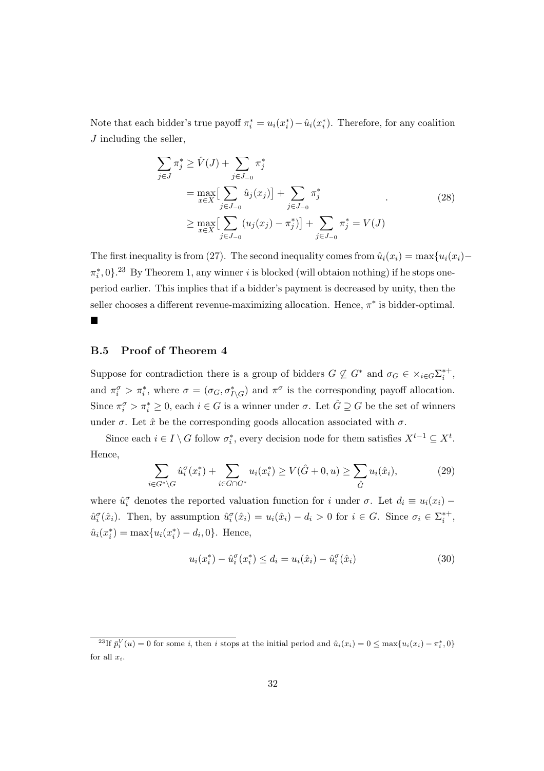Note that each bidder's true payoff  $\pi_i^* = u_i(x_i^*) - \hat{u}_i(x_i^*)$ . Therefore, for any coalition *J* including the seller,

$$
\sum_{j \in J} \pi_j^* \ge \hat{V}(J) + \sum_{j \in J_{-0}} \pi_j^*
$$
\n
$$
= \max_{x \in X} \left[ \sum_{j \in J_{-0}} \hat{u}_j(x_j) \right] + \sum_{j \in J_{-0}} \pi_j^*
$$
\n
$$
\ge \max_{x \in X} \left[ \sum_{j \in J_{-0}} (u_j(x_j) - \pi_j^*) \right] + \sum_{j \in J_{-0}} \pi_j^* = V(J)
$$
\n(28)

The first inequality is from (27). The second inequality comes from  $\hat{u}_i(x_i) = \max\{u_i(x_i) \pi_i^*$ , 0 $\}$ .<sup>23</sup> By Theorem 1, any winner *i* is blocked (will obtaion nothing) if he stops oneperiod earlier. This implies that if a bidder's payment is decreased by unity, then the seller chooses a different revenue-maximizing allocation. Hence, *π ∗* is bidder-optimal.

#### **B.5 Proof of Theorem 4**

¥

Suppose for contradiction there is a group of bidders  $G \nsubseteq G^*$  and  $\sigma_G \in \times_{i \in G} \Sigma_i^{*+}$ , and  $\pi_i^{\sigma} > \pi_i^*$ , where  $\sigma = (\sigma_G, \sigma_{I \setminus G}^*)$  and  $\pi^{\sigma}$  is the corresponding payoff allocation. Since  $\pi_i^{\sigma} > \pi_i^* \geq 0$ , each  $i \in G$  is a winner under  $\sigma$ . Let  $\hat{G} \supseteq G$  be the set of winners under  $\sigma$ . Let  $\hat{x}$  be the corresponding goods allocation associated with  $\sigma$ .

Since each  $i \in I \setminus G$  follow  $\sigma_i^*$ , every decision node for them satisfies  $X^{t-1} \subseteq X^t$ . Hence,

$$
\sum_{i \in G^* \backslash G} \hat{u}_i^{\sigma}(x_i^*) + \sum_{i \in G \cap G^*} u_i(x_i^*) \ge V(\hat{G} + 0, u) \ge \sum_{\hat{G}} u_i(\hat{x}_i),
$$
(29)

where  $\hat{u}_i^{\sigma}$  denotes the reported valuation function for *i* under  $\sigma$ . Let  $d_i \equiv u_i(x_i) \hat{u}_i^{\sigma}(\hat{x}_i)$ . Then, by assumption  $\hat{u}_i^{\sigma}(\hat{x}_i) = u_i(\hat{x}_i) - d_i > 0$  for  $i \in G$ . Since  $\sigma_i \in \Sigma_i^{*+}$ ,  $\hat{u}_i(x_i^*) = \max\{u_i(x_i^*) - d_i, 0\}$ . Hence,

$$
u_i(x_i^*) - \hat{u}_i^{\sigma}(x_i^*) \le d_i = u_i(\hat{x}_i) - \hat{u}_i^{\sigma}(\hat{x}_i)
$$
\n(30)

<sup>&</sup>lt;sup>23</sup>If  $\bar{p}_i^V(u) = 0$  for some i, then i stops at the initial period and  $\hat{u}_i(x_i) = 0 \le \max\{u_i(x_i) - \pi_i^*, 0\}$ for all *xi*.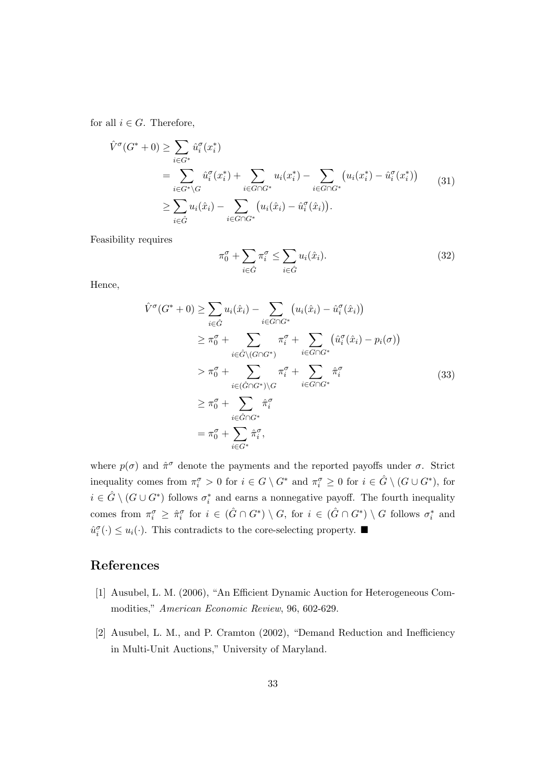for all  $i \in G$ . Therefore,

$$
\hat{V}^{\sigma}(G^* + 0) \geq \sum_{i \in G^*} \hat{u}_i^{\sigma}(x_i^*)
$$
\n
$$
= \sum_{i \in G^* \backslash G} \hat{u}_i^{\sigma}(x_i^*) + \sum_{i \in G \cap G^*} u_i(x_i^*) - \sum_{i \in G \cap G^*} (u_i(x_i^*) - \hat{u}_i^{\sigma}(x_i^*))
$$
\n
$$
\geq \sum_{i \in \hat{G}} u_i(\hat{x}_i) - \sum_{i \in G \cap G^*} (u_i(\hat{x}_i) - \hat{u}_i^{\sigma}(\hat{x}_i)).
$$
\n(31)

Feasibility requires

$$
\pi_0^{\sigma} + \sum_{i \in \hat{G}} \pi_i^{\sigma} \le \sum_{i \in \hat{G}} u_i(\hat{x}_i).
$$
 (32)

Hence,

$$
\hat{V}^{\sigma}(G^* + 0) \geq \sum_{i \in \hat{G}} u_i(\hat{x}_i) - \sum_{i \in G \cap G^*} (u_i(\hat{x}_i) - \hat{u}_i^{\sigma}(\hat{x}_i))
$$
\n
$$
\geq \pi_0^{\sigma} + \sum_{i \in \hat{G} \setminus (G \cap G^*)} \pi_i^{\sigma} + \sum_{i \in G \cap G^*} (\hat{u}_i^{\sigma}(\hat{x}_i) - p_i(\sigma))
$$
\n
$$
> \pi_0^{\sigma} + \sum_{i \in (\hat{G} \cap G^*) \setminus G} \pi_i^{\sigma} + \sum_{i \in G \cap G^*} \hat{\pi}_i^{\sigma}
$$
\n
$$
\geq \pi_0^{\sigma} + \sum_{i \in \hat{G} \cap G^*} \hat{\pi}_i^{\sigma}
$$
\n
$$
= \pi_0^{\sigma} + \sum_{i \in G^*} \hat{\pi}_i^{\sigma},
$$
\n(33)

where  $p(\sigma)$  and  $\hat{\pi}^{\sigma}$  denote the payments and the reported payoffs under  $\sigma$ . Strict inequality comes from  $\pi_i^{\sigma} > 0$  for  $i \in G \setminus G^*$  and  $\pi_i^{\sigma} \geq 0$  for  $i \in \hat{G} \setminus (G \cup G^*)$ , for  $i \in \hat{G} \setminus (G \cup G^*)$  follows  $\sigma_i^*$  and earns a nonnegative payoff. The fourth inequality comes from  $\pi_i^{\sigma} \geq \hat{\pi}_i^{\sigma}$  for  $i \in (\hat{G} \cap G^*) \setminus G$ , for  $i \in (\hat{G} \cap G^*) \setminus G$  follows  $\sigma_i^*$  and  $\hat{u}_i^{\sigma}(\cdot) \leq u_i(\cdot)$ . This contradicts to the core-selecting property.  $\blacksquare$ 

# **References**

- [1] Ausubel, L. M. (2006), "An Efficient Dynamic Auction for Heterogeneous Commodities," *American Economic Review*, 96, 602-629.
- [2] Ausubel, L. M., and P. Cramton (2002), "Demand Reduction and Inefficiency in Multi-Unit Auctions," University of Maryland.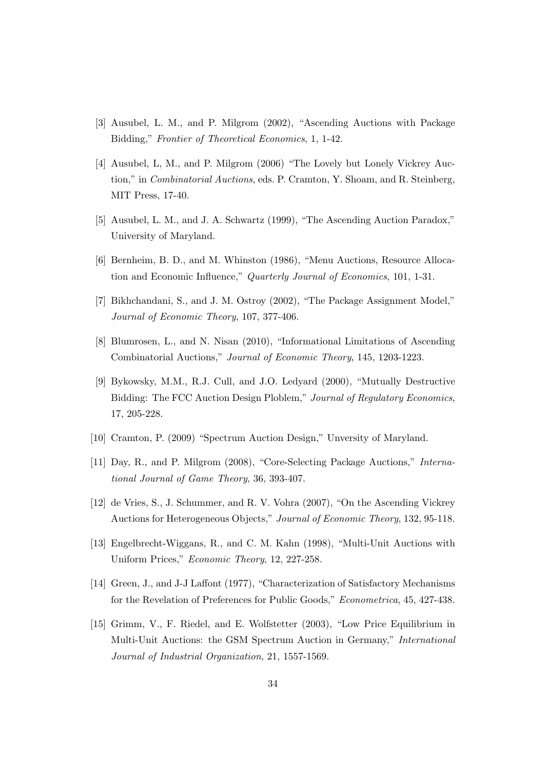- [3] Ausubel, L. M., and P. Milgrom (2002), "Ascending Auctions with Package Bidding," *Frontier of Theoretical Economics*, 1, 1-42.
- [4] Ausubel, L, M., and P. Milgrom (2006) "The Lovely but Lonely Vickrey Auction," in *Combinatorial Auctions*, eds. P. Cramton, Y. Shoam, and R. Steinberg, MIT Press, 17-40.
- [5] Ausubel, L. M., and J. A. Schwartz (1999), "The Ascending Auction Paradox," University of Maryland.
- [6] Bernheim, B. D., and M. Whinston (1986), "Menu Auctions, Resource Allocation and Economic Influence," *Quarterly Journal of Economics*, 101, 1-31.
- [7] Bikhchandani, S., and J. M. Ostroy (2002), "The Package Assignment Model," *Journal of Economic Theory*, 107, 377-406.
- [8] Blumrosen, L., and N. Nisan (2010), "Informational Limitations of Ascending Combinatorial Auctions," *Journal of Economic Theory*, 145, 1203-1223.
- [9] Bykowsky, M.M., R.J. Cull, and J.O. Ledyard (2000), "Mutually Destructive Bidding: The FCC Auction Design Ploblem," *Journal of Regulatory Economics*, 17, 205-228.
- [10] Cramton, P. (2009) "Spectrum Auction Design," Unversity of Maryland.
- [11] Day, R., and P. Milgrom (2008), "Core-Selecting Package Auctions," *International Journal of Game Theory*, 36, 393-407.
- [12] de Vries, S., J. Schummer, and R. V. Vohra (2007), "On the Ascending Vickrey Auctions for Heterogeneous Objects," *Journal of Economic Theory*, 132, 95-118.
- [13] Engelbrecht-Wiggans, R., and C. M. Kahn (1998), "Multi-Unit Auctions with Uniform Prices," *Economic Theory*, 12, 227-258.
- [14] Green, J., and J-J Laffont (1977), "Characterization of Satisfactory Mechanisms for the Revelation of Preferences for Public Goods," *Econometrica*, 45, 427-438.
- [15] Grimm, V., F. Riedel, and E. Wolfstetter (2003), "Low Price Equilibrium in Multi-Unit Auctions: the GSM Spectrum Auction in Germany," *International Journal of Industrial Organization*, 21, 1557-1569.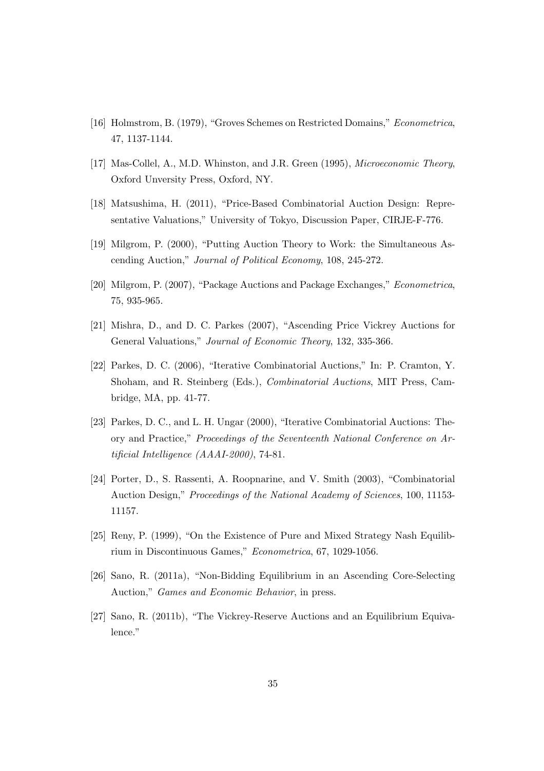- [16] Holmstrom, B. (1979), "Groves Schemes on Restricted Domains," *Econometrica*, 47, 1137-1144.
- [17] Mas-Collel, A., M.D. Whinston, and J.R. Green (1995), *Microeconomic Theory*, Oxford Unversity Press, Oxford, NY.
- [18] Matsushima, H. (2011), "Price-Based Combinatorial Auction Design: Representative Valuations," University of Tokyo, Discussion Paper, CIRJE-F-776.
- [19] Milgrom, P. (2000), "Putting Auction Theory to Work: the Simultaneous Ascending Auction," *Journal of Political Economy*, 108, 245-272.
- [20] Milgrom, P. (2007), "Package Auctions and Package Exchanges," *Econometrica*, 75, 935-965.
- [21] Mishra, D., and D. C. Parkes (2007), "Ascending Price Vickrey Auctions for General Valuations," *Journal of Economic Theory*, 132, 335-366.
- [22] Parkes, D. C. (2006), "Iterative Combinatorial Auctions," In: P. Cramton, Y. Shoham, and R. Steinberg (Eds.), *Combinatorial Auctions*, MIT Press, Cambridge, MA, pp. 41-77.
- [23] Parkes, D. C., and L. H. Ungar (2000), "Iterative Combinatorial Auctions: Theory and Practice," *Proceedings of the Seventeenth National Conference on Artificial Intelligence (AAAI-2000)*, 74-81.
- [24] Porter, D., S. Rassenti, A. Roopnarine, and V. Smith (2003), "Combinatorial Auction Design," *Proceedings of the National Academy of Sciences*, 100, 11153- 11157.
- [25] Reny, P. (1999), "On the Existence of Pure and Mixed Strategy Nash Equilibrium in Discontinuous Games," *Econometrica*, 67, 1029-1056.
- [26] Sano, R. (2011a), "Non-Bidding Equilibrium in an Ascending Core-Selecting Auction," *Games and Economic Behavior*, in press.
- [27] Sano, R. (2011b), "The Vickrey-Reserve Auctions and an Equilibrium Equivalence."